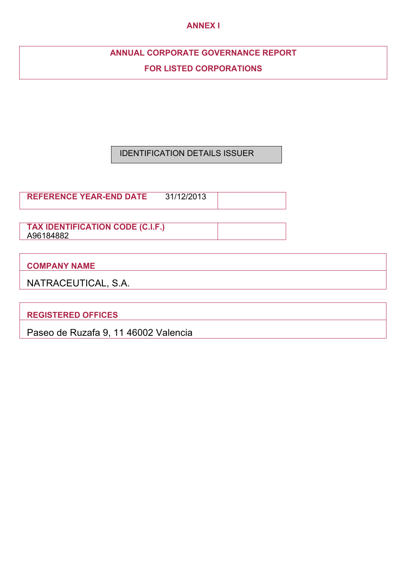## **ANNEX I**

# **ANNUAL CORPORATE GOVERNANCE REPORT**

**FOR LISTED CORPORATIONS**

# IDENTIFICATION DETAILS ISSUER

**REFERENCE YEAR-END DATE** 31/12/2013

**TAX IDENTIFICATION CODE (C.I.F.)**  A96184882

**COMPANY NAME**

| NATRACEUTICAL, S.A. |  |
|---------------------|--|
|---------------------|--|

**REGISTERED OFFICES**

Paseo de Ruzafa 9, 11 46002 Valencia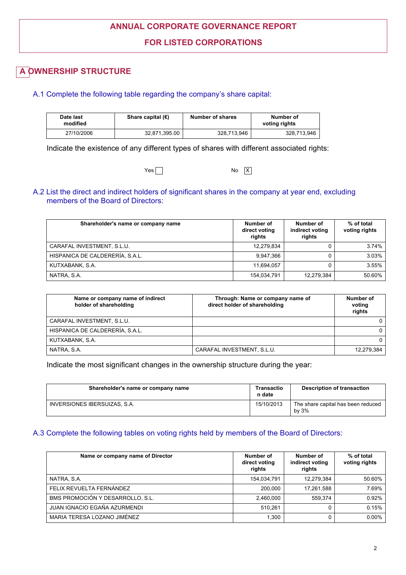# **ANNUAL CORPORATE GOVERNANCE REPORT**

## **FOR LISTED CORPORATIONS**

# **A OWNERSHIP STRUCTURE**

## A.1 Complete the following table regarding the company's share capital:

| Date last<br>modified | Share capital $(\epsilon)$ | Number of shares | Number of<br>voting rights |
|-----------------------|----------------------------|------------------|----------------------------|
| 27/10/2006            | 32.871.395.00              | 328.713.946      | 328,713,946                |

Indicate the existence of any different types of shares with different associated rights:

| $Yes \lceil$ | No | IX I |
|--------------|----|------|
|--------------|----|------|

## A.2 List the direct and indirect holders of significant shares in the company at year end, excluding members of the Board of Directors:

| Shareholder's name or company name | Number of<br>direct voting<br>rights | Number of<br>indirect voting<br>rights | % of total<br>voting rights |
|------------------------------------|--------------------------------------|----------------------------------------|-----------------------------|
| CARAFAL INVESTMENT, S.L.U.         | 12,279,834                           |                                        | 3.74%                       |
| HISPANICA DE CALDERERÍA, S.A.L.    | 9.947.366                            |                                        | 3.03%                       |
| KUTXABANK, S.A.                    | 11.694.057                           |                                        | 3.55%                       |
| NATRA, S.A.                        | 154,034,791                          | 12,279,384                             | 50.60%                      |

| Name or company name of indirect<br>holder of shareholding | Through: Name or company name of<br>direct holder of shareholding | Number of<br>voting<br>rights |
|------------------------------------------------------------|-------------------------------------------------------------------|-------------------------------|
| CARAFAL INVESTMENT, S.L.U.                                 |                                                                   |                               |
| HISPANICA DE CALDERERÍA, S.A.L.                            |                                                                   |                               |
| KUTXABANK, S.A.                                            |                                                                   |                               |
| NATRA, S.A.                                                | CARAFAL INVESTMENT, S.L.U.                                        | 12.279.384                    |

Indicate the most significant changes in the ownership structure during the year:

| Shareholder's name or company name | Transactio<br>n date | <b>Description of transaction</b>           |
|------------------------------------|----------------------|---------------------------------------------|
| INVERSIONES IBERSUIZAS, S.A.       | 15/10/2013           | The share capital has been reduced<br>by 3% |

## A.3 Complete the following tables on voting rights held by members of the Board of Directors:

| Name or company name of Director    | Number of<br>direct voting<br>rights | Number of<br>indirect voting<br>rights | % of total<br>voting rights |
|-------------------------------------|--------------------------------------|----------------------------------------|-----------------------------|
| NATRA, S.A.                         | 154,034,791                          | 12,279,384                             | 50.60%                      |
| FELIX REVUELTA FERNÁNDEZ            | 200.000                              | 17.261.588                             | 7.69%                       |
| BMS PROMOCIÓN Y DESARROLLO, S.L.    | 2,460,000                            | 559.374                                | 0.92%                       |
| <b>JUAN IGNACIO EGAÑA AZURMENDI</b> | 510.261                              | 0                                      | 0.15%                       |
| MARIA TERESA LOZANO JIMÉNEZ         | 1,300                                | 0                                      | $0.00\%$                    |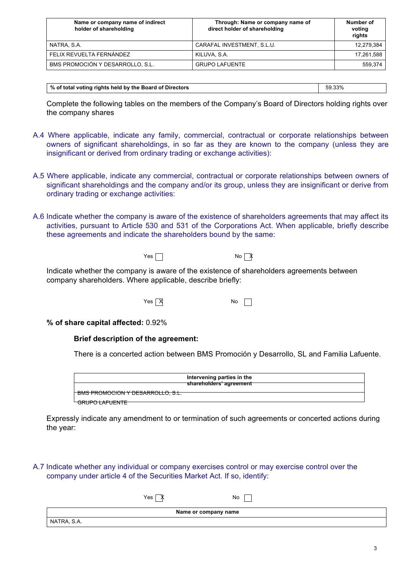| Name or company name of indirect<br>holder of shareholding | Through: Name or company name of<br>direct holder of shareholding | Number of<br>voting<br>rights |
|------------------------------------------------------------|-------------------------------------------------------------------|-------------------------------|
| NATRA, S.A.                                                | CARAFAL INVESTMENT, S.L.U.                                        | 12,279,384                    |
| FELIX REVUELTA FERNÁNDEZ                                   | KILUVA, S.A.                                                      | 17,261,588                    |
| BMS PROMOCIÓN Y DESARROLLO, S.L.                           | <b>GRUPO LAFUENTE</b>                                             | 559.374                       |

| │ % of total voting rights held by the Board of Directors | 59.33% |
|-----------------------------------------------------------|--------|

Complete the following tables on the members of the Company's Board of Directors holding rights over the company shares

- A.4 Where applicable, indicate any family, commercial, contractual or corporate relationships between owners of significant shareholdings, in so far as they are known to the company (unless they are insignificant or derived from ordinary trading or exchange activities):
- A.5 Where applicable, indicate any commercial, contractual or corporate relationships between owners of significant shareholdings and the company and/or its group, unless they are insignificant or derive from ordinary trading or exchange activities:
- A.6 Indicate whether the company is aware of the existence of shareholders agreements that may affect its activities, pursuant to Article 530 and 531 of the Corporations Act. When applicable, briefly describe these agreements and indicate the shareholders bound by the same:



Indicate whether the company is aware of the existence of shareholders agreements between company shareholders. Where applicable, describe briefly:

 $Yes \overline{X}$  No  $\Box$ 

**% of share capital affected:** 0.92%

## **Brief description of the agreement:**

There is a concerted action between BMS Promoción y Desarrollo, SL and Familia Lafuente.

|                                                                               | Intervening parties in the<br>shareholders' agreement |
|-------------------------------------------------------------------------------|-------------------------------------------------------|
| <u>Bus BRAHAMALLY BEALBRALLA AL</u><br><u>BMS PRUMUUUN Y DESARRULLU, S.L.</u> |                                                       |
| GRUPO LAFUENTE                                                                |                                                       |

Expressly indicate any amendment to or termination of such agreements or concerted actions during the year:

A.7 Indicate whether any individual or company exercises control or may exercise control over the company under article 4 of the Securities Market Act. If so, identify:

|                      | Yes<br>$\sqrt{2}$ | No |  |
|----------------------|-------------------|----|--|
| Name or company name |                   |    |  |
|                      | NATRA, S.A.       |    |  |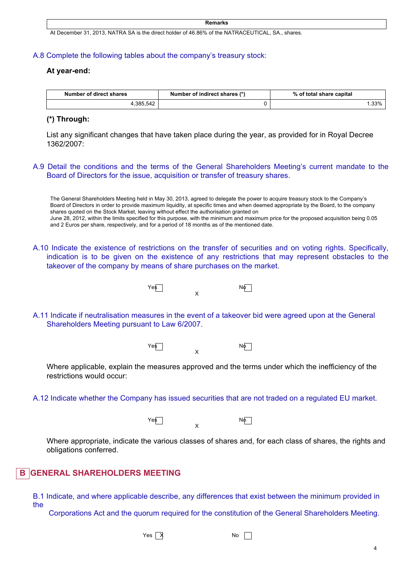#### **Remarks**

At December 31, 2013, NATRA SA is the direct holder of 46.86% of the NATRACEUTICAL, SA., shares.

#### A.8 Complete the following tables about the company's treasury stock:

#### **At year-end:**

| Number of direct shares | Number of indirect shares (*) | % of total share capital |
|-------------------------|-------------------------------|--------------------------|
| .385.542                |                               | $.33\%$                  |

### **(\*) Through:**

List any significant changes that have taken place during the year, as provided for in Royal Decree 1362/2007:

A.9 Detail the conditions and the terms of the General Shareholders Meeting's current mandate to the Board of Directors for the issue, acquisition or transfer of treasury shares.

The General Shareholders Meeting held in May 30, 2013, agreed to delegate the power to acquire treasury stock to the Company's Board of Directors in order to provide maximum liquidity, at specific times and when deemed appropriate by the Board, to the company shares quoted on the Stock Market, leaving without effect the authorisation granted on June 28, 2012, within the limits specified for this purpose, with the minimum and maximum price for the proposed acquisition being 0.05 and 2 Euros per share, respectively, and for a period of 18 months as of the mentioned date.

A.10 Indicate the existence of restrictions on the transfer of securities and on voting rights. Specifically, indication is to be given on the existence of any restrictions that may represent obstacles to the takeover of the company by means of share purchases on the market.



A.11 Indicate if neutralisation measures in the event of a takeover bid were agreed upon at the General Shareholders Meeting pursuant to Law 6/2007.



Where applicable, explain the measures approved and the terms under which the inefficiency of the restrictions would occur:

A.12 Indicate whether the Company has issued securities that are not traded on a regulated EU market.

Yes No X

Where appropriate, indicate the various classes of shares and, for each class of shares, the rights and obligations conferred.

## **GENERAL SHAREHOLDERS MEETING**

B.1 Indicate, and where applicable describe, any differences that exist between the minimum provided in the

Corporations Act and the quorum required for the constitution of the General Shareholders Meeting.

 $Yes \overrightarrow{X}$  No  $\overrightarrow{N}$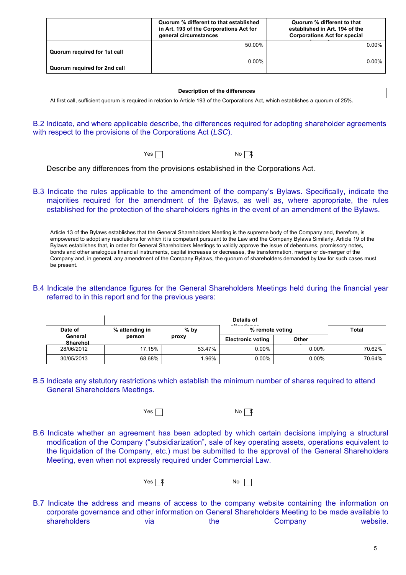|                              | Quorum % different to that established<br>in Art. 193 of the Corporations Act for<br>general circumstances | Quorum % different to that<br>established in Art. 194 of the<br><b>Corporations Act for special</b> |
|------------------------------|------------------------------------------------------------------------------------------------------------|-----------------------------------------------------------------------------------------------------|
|                              | 50.00%                                                                                                     | $0.00\%$                                                                                            |
| Quorum required for 1st call |                                                                                                            |                                                                                                     |
|                              | $0.00\%$                                                                                                   | $0.00\%$                                                                                            |
| Quorum required for 2nd call |                                                                                                            |                                                                                                     |

#### **Description of the differences**

At first call, sufficient quorum is required in relation to Article 193 of the Corporations Act, which establishes a quorum of 25%.

B.2 Indicate, and where applicable describe, the differences required for adopting shareholder agreements with respect to the provisions of the Corporations Act (*LSC*).

 $Yes \Box$ 

Describe any differences from the provisions established in the Corporations Act.

B.3 Indicate the rules applicable to the amendment of the company's Bylaws. Specifically, indicate the majorities required for the amendment of the Bylaws, as well as, where appropriate, the rules established for the protection of the shareholders rights in the event of an amendment of the Bylaws.

Article 13 of the Bylaws establishes that the General Shareholders Meeting is the supreme body of the Company and, therefore, is empowered to adopt any resolutions for which it is competent pursuant to the Law and the Company Bylaws Similarly, Article 19 of the Bylaws establishes that, in order for General Shareholders Meetings to validly approve the issue of debentures, promissory notes, bonds and other analogous financial instruments, capital increases or decreases, the transformation, merger or de-merger of the Company and, in general, any amendment of the Company Bylaws, the quorum of shareholders demanded by law for such cases must be present.

B.4 Indicate the attendance figures for the General Shareholders Meetings held during the financial year referred to in this report and for the previous years:

|                     |                          |        | Details of<br>and do a set a set of the |          |        |  |
|---------------------|--------------------------|--------|-----------------------------------------|----------|--------|--|
| Date of             | % attending in<br>$%$ by |        | % remote voting                         |          | Total  |  |
| General<br>Sharehol | person                   | proxy  | <b>Electronic voting</b>                | Other    |        |  |
| 28/06/2012          | 17.15%                   | 53.47% | $0.00\%$                                | $0.00\%$ | 70.62% |  |
| 30/05/2013          | 68.68%                   | .96%   | $0.00\%$                                | $0.00\%$ | 70.64% |  |

B.5 Indicate any statutory restrictions which establish the minimum number of shares required to attend General Shareholders Meetings.

 $Yes \Box$ 

B.6 Indicate whether an agreement has been adopted by which certain decisions implying a structural modification of the Company ("subsidiarization", sale of key operating assets, operations equivalent to the liquidation of the Company, etc.) must be submitted to the approval of the General Shareholders Meeting, even when not expressly required under Commercial Law.



B.7 Indicate the address and means of access to the company website containing the information on corporate governance and other information on General Shareholders Meeting to be made available to shareholders via via the Company website.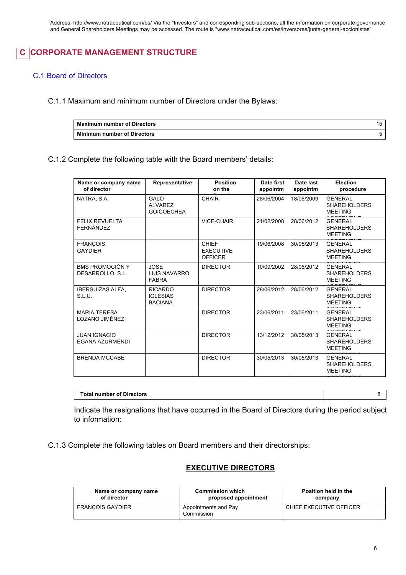# **C CORPORATE MANAGEMENT STRUCTURE**

## C.1 Board of Directors

C.1.1 Maximum and minimum number of Directors under the Bylaws:

| <b>Maximum number of Directors</b> |  |
|------------------------------------|--|
| <b>Minimum number of Directors</b> |  |

## C.1.2 Complete the following table with the Board members' details:

| Name or company name<br>of director    | Representative                                      | <b>Position</b><br>on the                          | Date first<br>appointm | Date last<br>appointm | <b>Election</b><br>procedure                            |
|----------------------------------------|-----------------------------------------------------|----------------------------------------------------|------------------------|-----------------------|---------------------------------------------------------|
| NATRA, S.A.                            | GALO<br><b>ALVAREZ</b><br><b>GOICOECHEA</b>         | <b>CHAIR</b>                                       | 28/06/2004             | 18/06/2009            | <b>GENERAL</b><br><b>SHAREHOLDERS</b><br><b>MEETING</b> |
| <b>FELIX REVUELTA</b><br>FERNÁNDEZ     |                                                     | <b>VICE-CHAIR</b>                                  | 21/02/2008             | 28/06/2012            | <b>GENERAL</b><br><b>SHAREHOLDERS</b><br><b>MEETING</b> |
| <b>FRANÇOIS</b><br><b>GAYDIER</b>      |                                                     | <b>CHIEF</b><br><b>EXECUTIVE</b><br><b>OFFICER</b> | 19/06/2008             | 30/05/2013            | <b>GENERAL</b><br><b>SHAREHOLDERS</b><br><b>MEETING</b> |
| BMS PROMOCIÓN Y<br>DESARROLLO, S.L.    | JOSÉ<br>LUIS NAVARRO<br><b>FABRA</b>                | <b>DIRECTOR</b>                                    | 10/09/2002             | 28/06/2012            | <b>GENERAL</b><br><b>SHAREHOLDERS</b><br><b>MEETING</b> |
| <b>IBERSUIZAS ALFA.</b><br>S.L.U.      | <b>RICARDO</b><br><b>IGLESIAS</b><br><b>BACIANA</b> | <b>DIRECTOR</b>                                    | 28/06/2012             | 28/06/2012            | <b>GENERAL</b><br><b>SHAREHOLDERS</b><br><b>MEETING</b> |
| <b>MARIA TERESA</b><br>LOZANO JIMÉNEZ  |                                                     | <b>DIRECTOR</b>                                    | 23/06/2011             | 23/06/2011            | <b>GENERAL</b><br><b>SHAREHOLDERS</b><br><b>MEETING</b> |
| <b>JUAN IGNACIO</b><br>EGAÑA AZURMENDI |                                                     | <b>DIRECTOR</b>                                    | 13/12/2012             | 30/05/2013            | <b>GENERAL</b><br><b>SHAREHOLDERS</b><br><b>MEETING</b> |
| <b>BRENDA MCCABE</b>                   |                                                     | <b>DIRECTOR</b>                                    | 30/05/2013             | 30/05/2013            | <b>GENERAL</b><br><b>SHAREHOLDERS</b><br><b>MEETING</b> |

**Total number of Directors** 8

Indicate the resignations that have occurred in the Board of Directors during the period subject to information:

C.1.3 Complete the following tables on Board members and their directorships:

## **EXECUTIVE DIRECTORS**

| Name or company name    | <b>Commission which</b>            | Position held in the    |
|-------------------------|------------------------------------|-------------------------|
| of director             | proposed appointment               | company                 |
| <b>FRANCOIS GAYDIER</b> | Appointments and Pay<br>Commission | CHIEF EXECUTIVE OFFICER |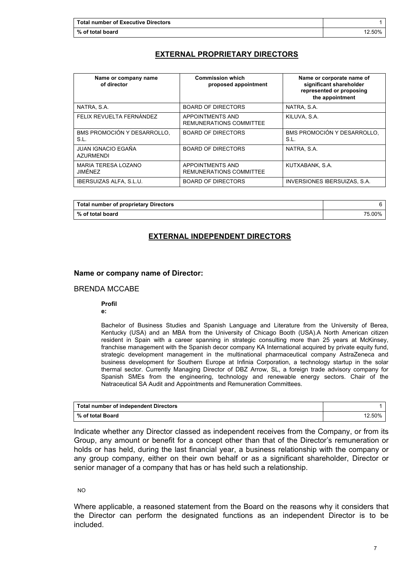## **EXTERNAL PROPRIETARY DIRECTORS**

| Name or company name<br>of director | <b>Commission which</b><br>proposed appointment | Name or corporate name of<br>significant shareholder<br>represented or proposing<br>the appointment |
|-------------------------------------|-------------------------------------------------|-----------------------------------------------------------------------------------------------------|
| NATRA, S.A.                         | <b>BOARD OF DIRECTORS</b>                       | NATRA, S.A.                                                                                         |
| FELIX REVUELTA FERNÁNDEZ            | APPOINTMENTS AND<br>REMUNERATIONS COMMITTEE     | KILUVA, S.A.                                                                                        |
| BMS PROMOCIÓN Y DESARROLLO,<br>S.L. | <b>BOARD OF DIRECTORS</b>                       | BMS PROMOCIÓN Y DESARROLLO,<br>S.L.                                                                 |
| JUAN IGNACIO EGAÑA<br>AZURMENDI     | <b>BOARD OF DIRECTORS</b>                       | NATRA, S.A.                                                                                         |
| MARIA TERESA LOZANO<br>JIMÉNEZ      | APPOINTMENTS AND<br>REMUNERATIONS COMMITTEE     | KUTXABANK, S.A.                                                                                     |
| <b>IBERSUIZAS ALFA, S.L.U.</b>      | <b>BOARD OF DIRECTORS</b>                       | INVERSIONES IBERSUIZAS, S.A.                                                                        |

| <b>Total number of proprietary Directors</b> |        |
|----------------------------------------------|--------|
| % of total board                             | 75.00% |

## **EXTERNAL INDEPENDENT DIRECTORS**

## **Name or company name of Director:**

## BRENDA MCCABE

#### **Profil**

**e:**

Bachelor of Business Studies and Spanish Language and Literature from the University of Berea, Kentucky (USA) and an MBA from the University of Chicago Booth (USA).A North American citizen resident in Spain with a career spanning in strategic consulting more than 25 years at McKinsey, franchise management with the Spanish decor company KA International acquired by private equity fund, strategic development management in the multinational pharmaceutical company AstraZeneca and business development for Southern Europe at Infinia Corporation, a technology startup in the solar thermal sector. Currently Managing Director of DBZ Arrow, SL, a foreign trade advisory company for Spanish SMEs from the engineering, technology and renewable energy sectors. Chair of the Natraceutical SA Audit and Appointments and Remuneration Committees.

| <b>Total number of independent Directors</b> |        |
|----------------------------------------------|--------|
| % of total Board                             | 12.50% |

Indicate whether any Director classed as independent receives from the Company, or from its Group, any amount or benefit for a concept other than that of the Director's remuneration or holds or has held, during the last financial year, a business relationship with the company or any group company, either on their own behalf or as a significant shareholder, Director or senior manager of a company that has or has held such a relationship.

NO

Where applicable, a reasoned statement from the Board on the reasons why it considers that the Director can perform the designated functions as an independent Director is to be included.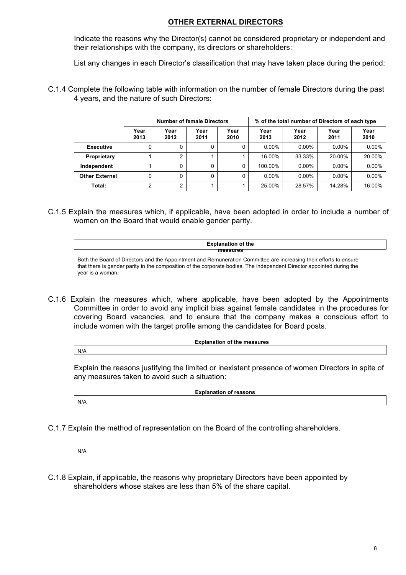## **OTHER EXTERNAL DIRECTORS**

Indicate the reasons why the Director(s) cannot be considered proprietary or independent and their relationships with the company, its directors or shareholders:

List any changes in each Director's classification that may have taken place during the period:

C.1.4 Complete the following table with information on the number of female Directors during the past 4 years, and the nature of such Directors:

|                       | <b>Number of female Directors</b> |              |              |              |              |              | % of the total number of Directors of each type |              |
|-----------------------|-----------------------------------|--------------|--------------|--------------|--------------|--------------|-------------------------------------------------|--------------|
|                       | Year<br>2013                      | Year<br>2012 | Year<br>2011 | Year<br>2010 | Year<br>2013 | Year<br>2012 | Year<br>2011                                    | Year<br>2010 |
| <b>Executive</b>      |                                   |              |              | 0            | $0.00\%$     | $0.00\%$     | $0.00\%$                                        | $0.00\%$     |
| Proprietary           |                                   | ົ            |              |              | 16.00%       | 33.33%       | 20.00%                                          | 20.00%       |
| Independent           |                                   |              | 0            | 0            | 100.00%      | $0.00\%$     | $0.00\%$                                        | $0.00\%$     |
| <b>Other External</b> | 0                                 |              | $\Omega$     | 0            | $0.00\%$     | $0.00\%$     | $0.00\%$                                        | $0.00\%$     |
| Total:                | 2                                 | ົ            |              |              | 25.00%       | 28.57%       | 14.28%                                          | 16.00%       |

C.1.5 Explain the measures which, if applicable, have been adopted in order to include a number of women on the Board that would enable gender parity.

**Explanation of the measures**

Both the Board of Directors and the Appointment and Remuneration Committee are increasing their efforts to ensure that there is gender parity in the composition of the corporate bodies. The independent Director appointed during the year is a woman.

C.1.6 Explain the measures which, where applicable, have been adopted by the Appointments Committee in order to avoid any implicit bias against female candidates in the procedures for covering Board vacancies, and to ensure that the company makes a conscious effort to include women with the target profile among the candidates for Board posts.

N/A

Explain the reasons justifying the limited or inexistent presence of women Directors in spite of

**Explanation of the measures**

N/A

**Explanation of reasons**

C.1.7 Explain the method of representation on the Board of the controlling shareholders.

any measures taken to avoid such a situation:

N/A

C.1.8 Explain, if applicable, the reasons why proprietary Directors have been appointed by shareholders whose stakes are less than 5% of the share capital.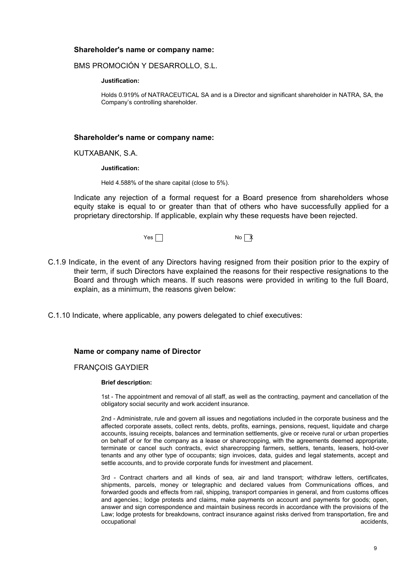## **Shareholder's name or company name:**

### BMS PROMOCIÓN Y DESARROLLO, S.L.

#### **Justification:**

Holds 0.919% of NATRACEUTICAL SA and is a Director and significant shareholder in NATRA, SA, the Company's controlling shareholder.

### **Shareholder's name or company name:**

KUTXABANK, S.A.

#### **Justification:**

Held 4.588% of the share capital (close to 5%).

Indicate any rejection of a formal request for a Board presence from shareholders whose equity stake is equal to or greater than that of others who have successfully applied for a proprietary directorship. If applicable, explain why these requests have been rejected.

 $Yes \Box$ 

- C.1.9 Indicate, in the event of any Directors having resigned from their position prior to the expiry of their term, if such Directors have explained the reasons for their respective resignations to the Board and through which means. If such reasons were provided in writing to the full Board, explain, as a minimum, the reasons given below:
- C.1.10 Indicate, where applicable, any powers delegated to chief executives:

### **Name or company name of Director**

#### FRANÇOIS GAYDIER

#### **Brief description:**

1st - The appointment and removal of all staff, as well as the contracting, payment and cancellation of the obligatory social security and work accident insurance.

2nd - Administrate, rule and govern all issues and negotiations included in the corporate business and the affected corporate assets, collect rents, debts, profits, earnings, pensions, request, liquidate and charge accounts, issuing receipts, balances and termination settlements, give or receive rural or urban properties on behalf of or for the company as a lease or sharecropping, with the agreements deemed appropriate, terminate or cancel such contracts, evict sharecropping farmers, settlers, tenants, leasers, hold-over tenants and any other type of occupants; sign invoices, data, guides and legal statements, accept and settle accounts, and to provide corporate funds for investment and placement.

3rd - Contract charters and all kinds of sea, air and land transport; withdraw letters, certificates, shipments, parcels, money or telegraphic and declared values from Communications offices, and forwarded goods and effects from rail, shipping, transport companies in general, and from customs offices and agencies.; lodge protests and claims, make payments on account and payments for goods; open, answer and sign correspondence and maintain business records in accordance with the provisions of the Law; lodge protests for breakdowns, contract insurance against risks derived from transportation, fire and occupational accidents, and the contract of the contract of the contract of the contract of the contract of the contract of the contract of the contract of the contract of the contract of the contract of the contract of th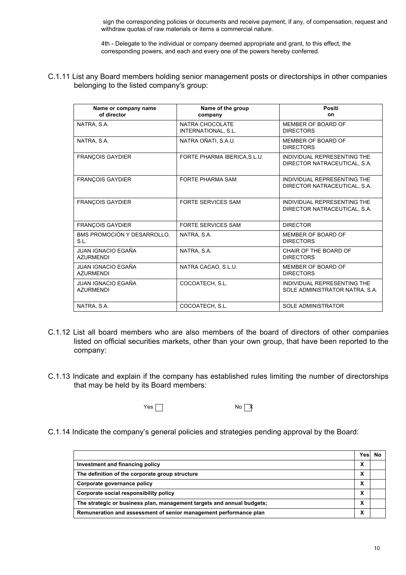sign the corresponding policies or documents and receive payment, if any, of compensation, request and withdraw quotas of raw materials or items a commercial nature.

4th - Delegate to the individual or company deemed appropriate and grant, to this effect, the corresponding powers, and each and every one of the powers hereby conferred.

C.1.11 List any Board members holding senior management posts or directorships in other companies belonging to the listed company's group:

| Name or company name<br>of director           | Name of the group<br>company           | <b>Positi</b><br>on                                           |
|-----------------------------------------------|----------------------------------------|---------------------------------------------------------------|
| NATRA, S.A.                                   | NATRA CHOCOLATE<br>INTERNATIONAL, S.L. | MEMBER OF BOARD OF<br><b>DIRECTORS</b>                        |
| NATRA, S.A.                                   | NATRA OÑATI, S.A.U.                    | MEMBER OF BOARD OF<br><b>DIRECTORS</b>                        |
| <b>FRANCOIS GAYDIER</b>                       | FORTE PHARMA IBERICA, S.L.U.           | INDIVIDUAL REPRESENTING THE<br>DIRECTOR NATRACEUTICAL, S.A.   |
| <b>FRANÇOIS GAYDIER</b>                       | <b>FORTE PHARMA SAM</b>                | INDIVIDUAL REPRESENTING THE<br>DIRECTOR NATRACEUTICAL, S.A.   |
| <b>FRANÇOIS GAYDIER</b>                       | FORTE SERVICES SAM                     | INDIVIDUAL REPRESENTING THE<br>DIRECTOR NATRACEUTICAL, S.A.   |
| <b>FRANCOIS GAYDIER</b>                       | <b>FORTE SERVICES SAM</b>              | <b>DIRECTOR</b>                                               |
| BMS PROMOCIÓN Y DESARROLLO,<br>S.L.           | NATRA, S.A.                            | MEMBER OF BOARD OF<br><b>DIRECTORS</b>                        |
| JUAN IGNACIO EGAÑA<br><b>AZURMENDI</b>        | NATRA, S.A.                            | CHAIR OF THE BOARD OF<br><b>DIRECTORS</b>                     |
| <b>JUAN IGNACIO EGAÑA</b><br><b>AZURMENDI</b> | NATRA CACAO, S.L.U.                    | MEMBER OF BOARD OF<br><b>DIRECTORS</b>                        |
| <b>JUAN IGNACIO EGAÑA</b><br><b>AZURMENDI</b> | COCOATECH. S.L.                        | INDIVIDUAL REPRESENTING THE<br>SOLE ADMINISTRATOR NATRA, S.A. |
| NATRA, S.A.                                   | COCOATECH, S.L.                        | <b>SOLE ADMINISTRATOR</b>                                     |

- C.1.12 List all board members who are also members of the board of directors of other companies listed on official securities markets, other than your own group, that have been reported to the company:
- C.1.13 Indicate and explain if the company has established rules limiting the number of directorships that may be held by its Board members:

 $Yes \frown$ 

C.1.14 Indicate the company's general policies and strategies pending approval by the Board:

|                                                                        | Yesl | No |
|------------------------------------------------------------------------|------|----|
| Investment and financing policy                                        | v    |    |
| The definition of the corporate group structure                        | v    |    |
| Corporate governance policy                                            | v    |    |
| Corporate social responsibility policy                                 | v    |    |
| The strategic or business plan, management targets and annual budgets; | v    |    |
| Remuneration and assessment of senior management performance plan      | v    |    |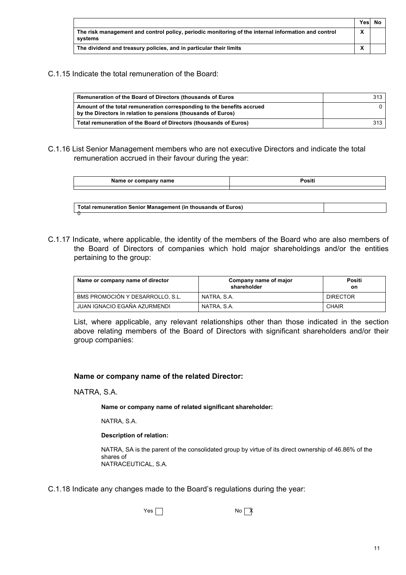|                                                                                                                | Yesl | No |
|----------------------------------------------------------------------------------------------------------------|------|----|
| The risk management and control policy, periodic monitoring of the internal information and control<br>svstems |      |    |
| The dividend and treasury policies, and in particular their limits                                             |      |    |

C.1.15 Indicate the total remuneration of the Board:

| Remuneration of the Board of Directors (thousands of Euros                                                                              | 313 |
|-----------------------------------------------------------------------------------------------------------------------------------------|-----|
| Amount of the total remuneration corresponding to the benefits accrued<br>by the Directors in relation to pensions (thousands of Euros) |     |
| Total remuneration of the Board of Directors (thousands of Euros)                                                                       | 313 |

C.1.16 List Senior Management members who are not executive Directors and indicate the total remuneration accrued in their favour during the year:

| Name or company name | Positi |
|----------------------|--------|
|                      |        |

| Total remuneration Senior Management (in thousands of Euros) |  |
|--------------------------------------------------------------|--|
|                                                              |  |

C.1.17 Indicate, where applicable, the identity of the members of the Board who are also members of the Board of Directors of companies which hold major shareholdings and/or the entities pertaining to the group:

| Name or company name of director | Company name of major<br>shareholder | Positi<br>on    |
|----------------------------------|--------------------------------------|-----------------|
| BMS PROMOCIÓN Y DESARROLLO, S.L. | NATRA, S.A.                          | <b>DIRECTOR</b> |
| JUAN IGNACIO EGAÑA AZURMENDI     | NATRA, S.A.                          | CHAIR           |

List, where applicable, any relevant relationships other than those indicated in the section above relating members of the Board of Directors with significant shareholders and/or their group companies:

## **Name or company name of the related Director:**

NATRA, S.A.

**Name or company name of related significant shareholder:**

NATRA, S.A.

### **Description of relation:**

NATRA, SA is the parent of the consolidated group by virtue of its direct ownership of 46.86% of the shares of NATRACEUTICAL, S.A.

C.1.18 Indicate any changes made to the Board's regulations during the year:

 $Yes \Box$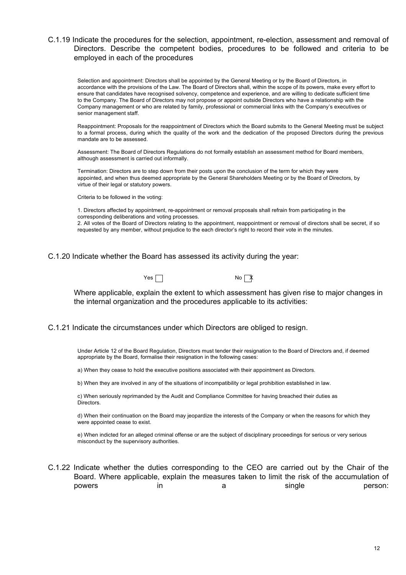## C.1.19 Indicate the procedures for the selection, appointment, re-election, assessment and removal of Directors. Describe the competent bodies, procedures to be followed and criteria to be employed in each of the procedures

Selection and appointment: Directors shall be appointed by the General Meeting or by the Board of Directors, in accordance with the provisions of the Law. The Board of Directors shall, within the scope of its powers, make every effort to ensure that candidates have recognised solvency, competence and experience, and are willing to dedicate sufficient time to the Company. The Board of Directors may not propose or appoint outside Directors who have a relationship with the Company management or who are related by family, professional or commercial links with the Company's executives or senior management staff.

Reappointment: Proposals for the reappointment of Directors which the Board submits to the General Meeting must be subject to a formal process, during which the quality of the work and the dedication of the proposed Directors during the previous mandate are to be assessed.

Assessment: The Board of Directors Regulations do not formally establish an assessment method for Board members, although assessment is carried out informally.

Termination: Directors are to step down from their posts upon the conclusion of the term for which they were appointed, and when thus deemed appropriate by the General Shareholders Meeting or by the Board of Directors, by virtue of their legal or statutory powers.

Criteria to be followed in the voting:

1. Directors affected by appointment, re-appointment or removal proposals shall refrain from participating in the corresponding deliberations and voting processes.

2. All votes of the Board of Directors relating to the appointment, reappointment or removal of directors shall be secret, if so requested by any member, without prejudice to the each director's right to record their vote in the minutes.

C.1.20 Indicate whether the Board has assessed its activity during the year:



Where applicable, explain the extent to which assessment has given rise to major changes in the internal organization and the procedures applicable to its activities:

C.1.21 Indicate the circumstances under which Directors are obliged to resign.

Under Article 12 of the Board Regulation, Directors must tender their resignation to the Board of Directors and, if deemed appropriate by the Board, formalise their resignation in the following cases:

a) When they cease to hold the executive positions associated with their appointment as Directors.

b) When they are involved in any of the situations of incompatibility or legal prohibition established in law.

c) When seriously reprimanded by the Audit and Compliance Committee for having breached their duties as Directors.

d) When their continuation on the Board may jeopardize the interests of the Company or when the reasons for which they were appointed cease to exist.

e) When indicted for an alleged criminal offense or are the subject of disciplinary proceedings for serious or very serious misconduct by the supervisory authorities.

|        |    |  |        | C.1.22 Indicate whether the duties corresponding to the CEO are carried out by the Chair of the |
|--------|----|--|--------|-------------------------------------------------------------------------------------------------|
|        |    |  |        | Board. Where applicable, explain the measures taken to limit the risk of the accumulation of    |
| powers | ın |  | single | person:                                                                                         |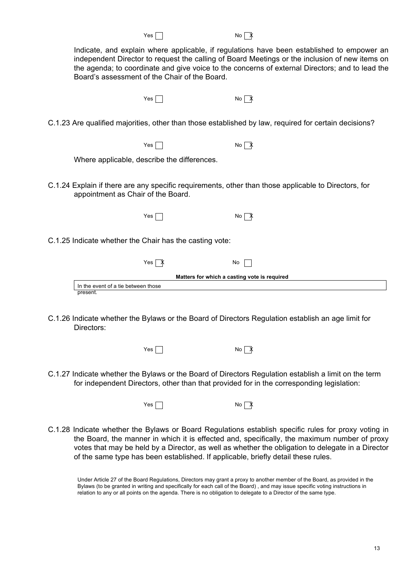| Indicate, and explain where applicable, if regulations have been established to empower an      |
|-------------------------------------------------------------------------------------------------|
| independent Director to request the calling of Board Meetings or the inclusion of new items on  |
| the agenda; to coordinate and give voice to the concerns of external Directors; and to lead the |
| Board's assessment of the Chair of the Board.                                                   |

 $Yes \frown$ 

C.1.23 Are qualified majorities, other than those established by law, required for certain decisions?

 $Yes \frown$ 

Where applicable, describe the differences.

- C.1.24 Explain if there are any specific requirements, other than those applicable to Directors, for appointment as Chair of the Board.
	- $Yes \tNos$
- C.1.25 Indicate whether the Chair has the casting vote:

| Yes                                          | No |  |  |  |
|----------------------------------------------|----|--|--|--|
| Matters for which a casting vote is required |    |  |  |  |
| In the event of a tie between those          |    |  |  |  |
| present.                                     |    |  |  |  |

C.1.26 Indicate whether the Bylaws or the Board of Directors Regulation establish an age limit for Directors:

 $Yes \frown$ 

C.1.27 Indicate whether the Bylaws or the Board of Directors Regulation establish a limit on the term for independent Directors, other than that provided for in the corresponding legislation:

 $Yes \frown$ 

C.1.28 Indicate whether the Bylaws or Board Regulations establish specific rules for proxy voting in the Board, the manner in which it is effected and, specifically, the maximum number of proxy votes that may be held by a Director, as well as whether the obligation to delegate in a Director of the same type has been established. If applicable, briefly detail these rules.

Under Article 27 of the Board Regulations, Directors may grant a proxy to another member of the Board, as provided in the Bylaws (to be granted in writing and specifically for each call of the Board) , and may issue specific voting instructions in relation to any or all points on the agenda. There is no obligation to delegate to a Director of the same type.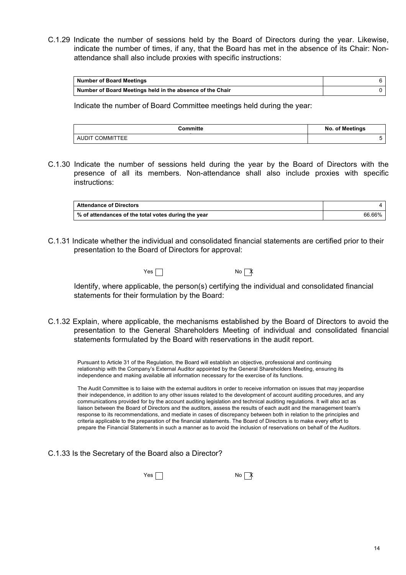C.1.29 Indicate the number of sessions held by the Board of Directors during the year. Likewise, indicate the number of times, if any, that the Board has met in the absence of its Chair: Nonattendance shall also include proxies with specific instructions:

| <b>Number of Board Meetings</b>                           |  |
|-----------------------------------------------------------|--|
| Number of Board Meetings held in the absence of the Chair |  |

Indicate the number of Board Committee meetings held during the year:

| Committe        | No. of Meetings |
|-----------------|-----------------|
| AUDIT COMMITTEE |                 |

C.1.30 Indicate the number of sessions held during the year by the Board of Directors with the presence of all its members. Non-attendance shall also include proxies with specific instructions:

| <b>Attendance of Directors</b>                      |        |
|-----------------------------------------------------|--------|
| % of attendances of the total votes during the year | 66.66% |

C.1.31 Indicate whether the individual and consolidated financial statements are certified prior to their presentation to the Board of Directors for approval:

Yes No X

Identify, where applicable, the person(s) certifying the individual and consolidated financial statements for their formulation by the Board:

C.1.32 Explain, where applicable, the mechanisms established by the Board of Directors to avoid the presentation to the General Shareholders Meeting of individual and consolidated financial statements formulated by the Board with reservations in the audit report.

Pursuant to Article 31 of the Regulation, the Board will establish an objective, professional and continuing relationship with the Company's External Auditor appointed by the General Shareholders Meeting, ensuring its independence and making available all information necessary for the exercise of its functions.

The Audit Committee is to liaise with the external auditors in order to receive information on issues that may jeopardise their independence, in addition to any other issues related to the development of account auditing procedures, and any communications provided for by the account auditing legislation and technical auditing regulations. It will also act as liaison between the Board of Directors and the auditors, assess the results of each audit and the management team's response to its recommendations, and mediate in cases of discrepancy between both in relation to the principles and criteria applicable to the preparation of the financial statements. The Board of Directors is to make every effort to prepare the Financial Statements in such a manner as to avoid the inclusion of reservations on behalf of the Auditors.

C.1.33 Is the Secretary of the Board also a Director?

 $Yes \frown$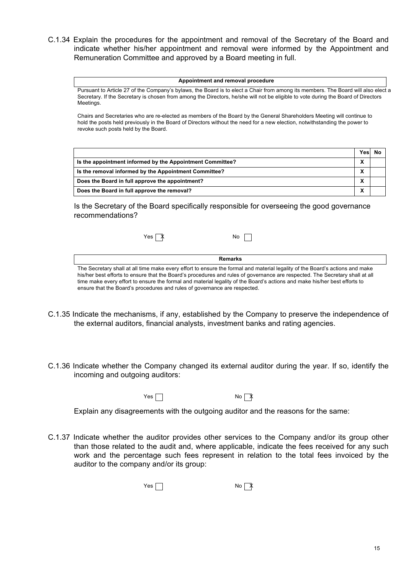C.1.34 Explain the procedures for the appointment and removal of the Secretary of the Board and indicate whether his/her appointment and removal were informed by the Appointment and Remuneration Committee and approved by a Board meeting in full.

| Appointment and removal procedure                                                                                                                                                                                                                                                            |      |           |
|----------------------------------------------------------------------------------------------------------------------------------------------------------------------------------------------------------------------------------------------------------------------------------------------|------|-----------|
| Pursuant to Article 27 of the Company's bylaws, the Board is to elect a Chair from among its members. The Board will also elect a<br>Secretary. If the Secretary is chosen from among the Directors, he/she will not be eligible to vote during the Board of Directors<br>Meetings.          |      |           |
| Chairs and Secretaries who are re-elected as members of the Board by the General Shareholders Meeting will continue to<br>hold the posts held previously in the Board of Directors without the need for a new election, notwithstanding the power to<br>revoke such posts held by the Board. |      |           |
|                                                                                                                                                                                                                                                                                              | Yesl | <b>No</b> |
| Is the appointment informed by the Appointment Committee?                                                                                                                                                                                                                                    | X    |           |
| Is the removal informed by the Appointment Committee?                                                                                                                                                                                                                                        | X    |           |
| Does the Board in full approve the appointment?                                                                                                                                                                                                                                              | X    |           |

**Does the Board in full approve the removal? X**

Is the Secretary of the Board specifically responsible for overseeing the good governance recommendations?

| Yes $\sqrt{X}$ | No                                                                                                                           |  |
|----------------|------------------------------------------------------------------------------------------------------------------------------|--|
|                |                                                                                                                              |  |
|                | Remarks                                                                                                                      |  |
|                | The Secretary shall at all time make every effort to ensure the formal and material legality of the Board's actions and make |  |

his/her best efforts to ensure that the Board's procedures and rules of governance are respected. The Secretary shall at all time make every effort to ensure the formal and material legality of the Board's actions and make his/her best efforts to ensure that the Board's procedures and rules of governance are respected.

- C.1.35 Indicate the mechanisms, if any, established by the Company to preserve the independence of the external auditors, financial analysts, investment banks and rating agencies.
- C.1.36 Indicate whether the Company changed its external auditor during the year. If so, identify the incoming and outgoing auditors:

 $Yes \t\t\t No \t\t\t \mathbb{X}$ 

Explain any disagreements with the outgoing auditor and the reasons for the same:

C.1.37 Indicate whether the auditor provides other services to the Company and/or its group other than those related to the audit and, where applicable, indicate the fees received for any such work and the percentage such fees represent in relation to the total fees invoiced by the auditor to the company and/or its group:

 $Yes \Box$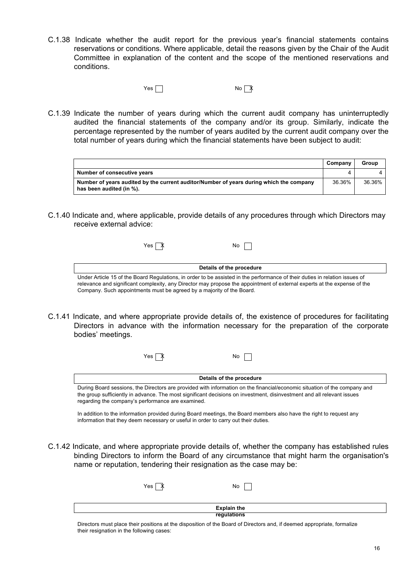C.1.38 Indicate whether the audit report for the previous year's financial statements contains reservations or conditions. Where applicable, detail the reasons given by the Chair of the Audit Committee in explanation of the content and the scope of the mentioned reservations and conditions.

 $Yes \Box$ 

C.1.39 Indicate the number of years during which the current audit company has uninterruptedly audited the financial statements of the company and/or its group. Similarly, indicate the percentage represented by the number of years audited by the current audit company over the total number of years during which the financial statements have been subject to audit:

|                                                                                                                     | Company | Group  |
|---------------------------------------------------------------------------------------------------------------------|---------|--------|
| Number of consecutive years                                                                                         |         |        |
| Number of years audited by the current auditor/Number of years during which the company<br>has been audited (in %). | 36.36%  | 36.36% |

C.1.40 Indicate and, where applicable, provide details of any procedures through which Directors may receive external advice:

| $\checkmark$<br>ν<br>'es<br>́^<br>$\cdot$ . | No |
|---------------------------------------------|----|
|---------------------------------------------|----|

**Details of the procedure** Under Article 15 of the Board Regulations, in order to be assisted in the performance of their duties in relation issues of relevance and significant complexity, any Director may propose the appointment of external experts at the expense of the Company. Such appointments must be agreed by a majority of the Board.

C.1.41 Indicate, and where appropriate provide details of, the existence of procedures for facilitating Directors in advance with the information necessary for the preparation of the corporate bodies' meetings.

| Yes                                                                                | No                                                                                                                                                                                                                                                  |
|------------------------------------------------------------------------------------|-----------------------------------------------------------------------------------------------------------------------------------------------------------------------------------------------------------------------------------------------------|
|                                                                                    | Details of the procedure                                                                                                                                                                                                                            |
| regarding the company's performance are examined.                                  | During Board sessions, the Directors are provided with information on the financial/economic situation of the company and<br>the group sufficiently in advance. The most significant decisions on investment, disinvestment and all relevant issues |
| information that they deem necessary or useful in order to carry out their duties. | In addition to the information provided during Board meetings, the Board members also have the right to request any                                                                                                                                 |

C.1.42 Indicate, and where appropriate provide details of, whether the company has established rules

name or reputation, tendering their resignation as the case may be:

|             |                | <u>the substitute of the set of the set of the substitute of the set of the substitute of the substitute of the s</u> |  |
|-------------|----------------|-----------------------------------------------------------------------------------------------------------------------|--|
|             | Yes $\sqrt{ }$ | No                                                                                                                    |  |
|             |                | <b>Explain the</b>                                                                                                    |  |
| regulations |                |                                                                                                                       |  |
|             |                |                                                                                                                       |  |

binding Directors to inform the Board of any circumstance that might harm the organisation's

Directors must place their positions at the disposition of the Board of Directors and, if deemed appropriate, formalize their resignation in the following cases: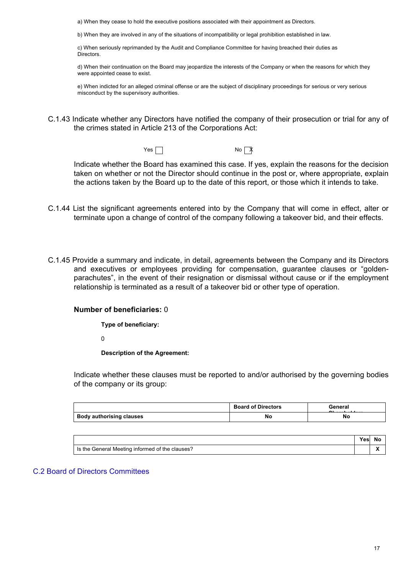a) When they cease to hold the executive positions associated with their appointment as Directors.

b) When they are involved in any of the situations of incompatibility or legal prohibition established in law.

c) When seriously reprimanded by the Audit and Compliance Committee for having breached their duties as Directors.

d) When their continuation on the Board may jeopardize the interests of the Company or when the reasons for which they were appointed cease to exist.

e) When indicted for an alleged criminal offense or are the subject of disciplinary proceedings for serious or very serious misconduct by the supervisory authorities.

C.1.43 Indicate whether any Directors have notified the company of their prosecution or trial for any of the crimes stated in Article 213 of the Corporations Act:

Yes No X

Indicate whether the Board has examined this case. If yes, explain the reasons for the decision taken on whether or not the Director should continue in the post or, where appropriate, explain the actions taken by the Board up to the date of this report, or those which it intends to take.

- C.1.44 List the significant agreements entered into by the Company that will come in effect, alter or terminate upon a change of control of the company following a takeover bid, and their effects.
- C.1.45 Provide a summary and indicate, in detail, agreements between the Company and its Directors and executives or employees providing for compensation, guarantee clauses or "goldenparachutes", in the event of their resignation or dismissal without cause or if the employment relationship is terminated as a result of a takeover bid or other type of operation.

### **Number of beneficiaries:** 0

**Type of beneficiary:**

0

**Description of the Agreement:**

Indicate whether these clauses must be reported to and/or authorised by the governing bodies of the company or its group:

|                                 | <b>Board of Directors</b> | General |
|---------------------------------|---------------------------|---------|
| <b>Body authorising clauses</b> | No                        | No      |

|                                                 | Yesl | N. |
|-------------------------------------------------|------|----|
| Is the General Meeting informed of the clauses? |      |    |

### C.2 Board of Directors Committees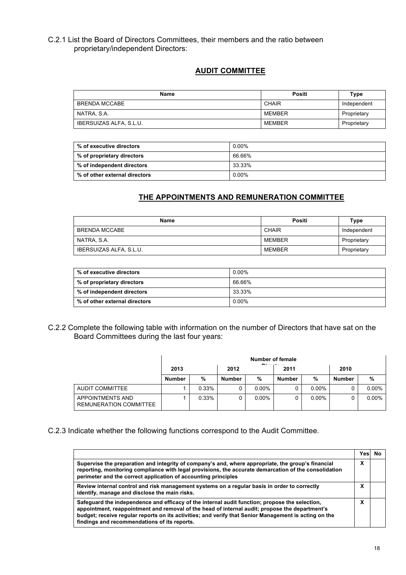## C.2.1 List the Board of Directors Committees, their members and the ratio between proprietary/independent Directors:

## **AUDIT COMMITTEE**

| <b>Name</b>             | Positi       | Type        |
|-------------------------|--------------|-------------|
| BRENDA MCCABE           | <b>CHAIR</b> | Independent |
| NATRA, S.A.             | MEMBER       | Proprietary |
| IBERSUIZAS ALFA, S.L.U. | MEMBER       | Proprietary |

| % of executive directors      | 0.00%    |
|-------------------------------|----------|
| % of proprietary directors    | 66.66%   |
| % of independent directors    | 33.33%   |
| % of other external directors | $0.00\%$ |

## **THE APPOINTMENTS AND REMUNERATION COMMITTEE**

| <b>Name</b>             | Positi        | Type        |
|-------------------------|---------------|-------------|
| BRENDA MCCABE           | CHAIR         | Independent |
| NATRA, S.A.             | <b>MEMBER</b> | Proprietary |
| IBERSUIZAS ALFA, S.L.U. | <b>MEMBER</b> | Proprietary |

| % of executive directors      | $0.00\%$ |
|-------------------------------|----------|
| % of proprietary directors    | 66.66%   |
| % of independent directors    | 33.33%   |
| % of other external directors | $0.00\%$ |

C.2.2 Complete the following table with information on the number of Directors that have sat on the Board Committees during the last four years:

|                                            | Number of female<br><b>District and</b> |       |        |          |               |          |               |          |
|--------------------------------------------|-----------------------------------------|-------|--------|----------|---------------|----------|---------------|----------|
|                                            | 2013                                    |       | 2012   |          | 2011          |          | 2010          |          |
|                                            | <b>Number</b>                           | %     | Number | %        | <b>Number</b> | %        | <b>Number</b> | %        |
| AUDIT COMMITTEE                            |                                         | 0.33% |        | $0.00\%$ |               | $0.00\%$ |               | $0.00\%$ |
| APPOINTMENTS AND<br>REMUNERATION COMMITTEE |                                         | 0.33% |        | $0.00\%$ |               | $0.00\%$ |               | $0.00\%$ |

## C.2.3 Indicate whether the following functions correspond to the Audit Committee.

|                                                                                                                                                                                                                                                                                                                                                           | Yes.   | N٥ |
|-----------------------------------------------------------------------------------------------------------------------------------------------------------------------------------------------------------------------------------------------------------------------------------------------------------------------------------------------------------|--------|----|
| Supervise the preparation and integrity of company's and, where appropriate, the group's financial<br>reporting, monitoring compliance with legal provisions, the accurate demarcation of the consolidation<br>perimeter and the correct application of accounting principles                                                                             | x      |    |
| Review internal control and risk management systems on a regular basis in order to correctly<br>identify, manage and disclose the main risks.                                                                                                                                                                                                             | v<br>Λ |    |
| Safeguard the independence and efficacy of the internal audit function; propose the selection,<br>appointment, reappointment and removal of the head of internal audit; propose the department's<br>budget; receive regular reports on its activities; and verify that Senior Management is acting on the<br>findings and recommendations of its reports. | v<br>Λ |    |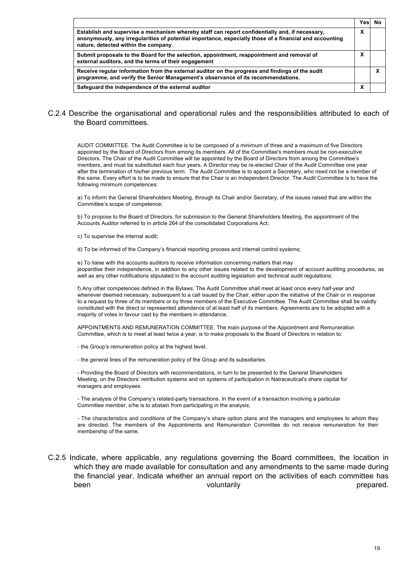|                                                                                                                                                                                                                                                   | Yesl | Nο |
|---------------------------------------------------------------------------------------------------------------------------------------------------------------------------------------------------------------------------------------------------|------|----|
| Establish and supervise a mechanism whereby staff can report confidentially and, if necessary,<br>anonymously, any irregularities of potential importance, especially those of a financial and accounting<br>nature, detected within the company. | x    |    |
| Submit proposals to the Board for the selection, appointment, reappointment and removal of<br>external auditors, and the terms of their engagement                                                                                                | х    |    |
| Receive regular information from the external auditor on the progress and findings of the audit<br>programme, and verify the Senior Management's observance of its recommendations.                                                               |      | х  |
| Safeguard the independence of the external auditor                                                                                                                                                                                                | х    |    |

## C.2.4 Describe the organisational and operational rules and the responsibilities attributed to each of the Board committees.

AUDIT COMMITTEE. The Audit Committee is to be composed of a minimum of three and a maximum of five Directors appointed by the Board of Directors from among its members. All of the Committee's members must be non-executive Directors. The Chair of the Audit Committee will be appointed by the Board of Directors from among the Committee's members, and must be substituted each four years. A Director may be re-elected Chair of the Audit Committee one year after the termination of his/her previous term. The Audit Committee is to appoint a Secretary, who need not be a member of the same. Every effort is to be made to ensure that the Chair is an Independent Director. The Audit Committee is to have the following minimum competences:

a) To inform the General Shareholders Meeting, through its Chair and/or Secretary, of the issues raised that are within the Committee's scope of competence;

b) To propose to the Board of Directors, for submission to the General Shareholders Meeting, the appointment of the Accounts Auditor referred to in article 264 of the consolidated Corporations Act;

- c) To supervise the internal audit;
- d) To be informed of the Company's financial reporting process and internal control systems;

e) To liaise with the accounts auditors to receive information concerning matters that may jeopardise their independence, in addition to any other issues related to the development of account auditing procedures, as well as any other notifications stipulated in the account auditing legislation and technical audit regulations;

f) Any other competences defined in the Bylaws. The Audit Committee shall meet at least once every half-year and whenever deemed necessary, subsequent to a call issued by the Chair, either upon the initiative of the Chair or in response to a request by three of its members or by three members of the Executive Committee. The Audit Committee shall be validly constituted with the direct or represented attendance of at least half of its members. Agreements are to be adopted with a majority of votes in favour cast by the members in attendance.

APPOINTMENTS AND REMUNERATION COMMITTEE. The main purpose of the Appointment and Remuneration Committee, which is to meet at least twice a year, is to make proposals to the Board of Directors in relation to:

- the Group's remuneration policy at the highest level.

- the general lines of the remuneration policy of the Group and its subsidiaries.

- Providing the Board of Directors with recommendations, in turn to be presented to the General Shareholders Meeting, on the Directors' retribution systems and on systems of participation in Natraceutical's share capital for managers and employees.

- The analysis of the Company's related-party transactions. In the event of a transaction involving a particular Committee member, s/he is to abstain from participating in the analysis;

- The characteristics and conditions of the Company's share option plans and the managers and employees to whom they are directed. The members of the Appointments and Remuneration Committee do not receive remuneration for their membership of the same.

## C.2.5 Indicate, where applicable, any regulations governing the Board committees, the location in which they are made available for consultation and any amendments to the same made during the financial year. Indicate whether an annual report on the activities of each committee has been voluntarily voluntarily been prepared.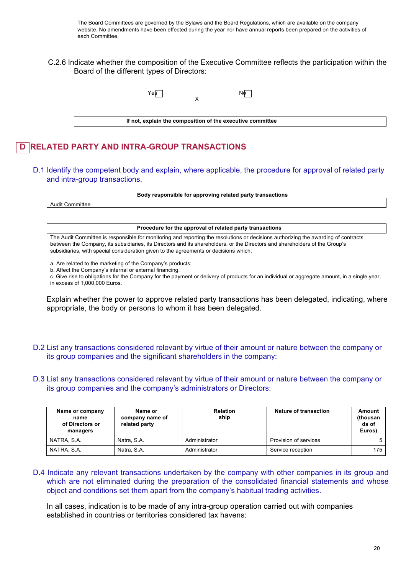The Board Committees are governed by the Bylaws and the Board Regulations, which are available on the company website. No amendments have been effected during the year nor have annual reports been prepared on the activities of each Committee.

C.2.6 Indicate whether the composition of the Executive Committee reflects the participation within the Board of the different types of Directors:

| Ye\$ | Nф                                                         |  |
|------|------------------------------------------------------------|--|
|      | If not, explain the composition of the executive committee |  |

# **D RELATED PARTY AND INTRA-GROUP TRANSACTIONS**

D.1 Identify the competent body and explain, where applicable, the procedure for approval of related party and intra-group transactions.

**Body responsible for approving related party transactions**

Audit Committee

**Procedure for the approval of related party transactions**

The Audit Committee is responsible for monitoring and reporting the resolutions or decisions authorizing the awarding of contracts between the Company, its subsidiaries, its Directors and its shareholders, or the Directors and shareholders of the Group's subsidiaries, with special consideration given to the agreements or decisions which:

a. Are related to the marketing of the Company's products;

b. Affect the Company's internal or external financing.

c. Give rise to obligations for the Company for the payment or delivery of products for an individual or aggregate amount, in a single year, in excess of 1,000,000 Euros.

Explain whether the power to approve related party transactions has been delegated, indicating, where appropriate, the body or persons to whom it has been delegated.

- D.2 List any transactions considered relevant by virtue of their amount or nature between the company or its group companies and the significant shareholders in the company:
- D.3 List any transactions considered relevant by virtue of their amount or nature between the company or its group companies and the company's administrators or Directors:

| Name or company<br>name<br>of Directors or<br>managers | Name or<br>company name of<br>related party | <b>Relation</b><br>ship | Nature of transaction | Amount<br>(thousan<br>ds of<br>Euros) |
|--------------------------------------------------------|---------------------------------------------|-------------------------|-----------------------|---------------------------------------|
| NATRA, S.A.                                            | Natra, S.A.                                 | Administrator           | Provision of services |                                       |
| NATRA, S.A.                                            | Natra, S.A.                                 | Administrator           | Service reception     | 175                                   |

D.4 Indicate any relevant transactions undertaken by the company with other companies in its group and which are not eliminated during the preparation of the consolidated financial statements and whose object and conditions set them apart from the company's habitual trading activities.

In all cases, indication is to be made of any intra-group operation carried out with companies established in countries or territories considered tax havens: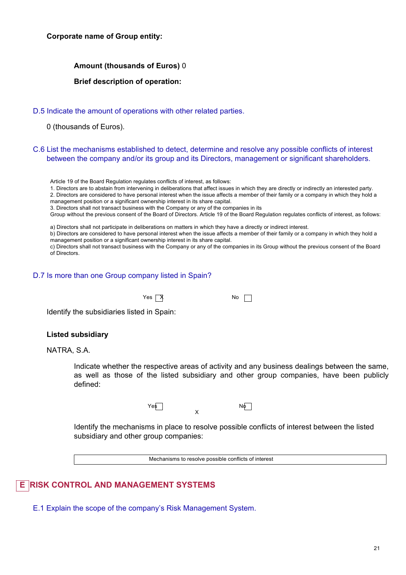## **Corporate name of Group entity:**

## **Amount (thousands of Euros)** 0

## **Brief description of operation:**

## D.5 Indicate the amount of operations with other related parties.

0 (thousands of Euros).

## C.6 List the mechanisms established to detect, determine and resolve any possible conflicts of interest between the company and/or its group and its Directors, management or significant shareholders.

Article 19 of the Board Regulation regulates conflicts of interest, as follows:

1. Directors are to abstain from intervening in deliberations that affect issues in which they are directly or indirectly an interested party.

2. Directors are considered to have personal interest when the issue affects a member of their family or a company in which they hold a management position or a significant ownership interest in its share capital.

3. Directors shall not transact business with the Company or any of the companies in its

Group without the previous consent of the Board of Directors. Article 19 of the Board Regulation regulates conflicts of interest, as follows:

a) Directors shall not participate in deliberations on matters in which they have a directly or indirect interest.

b) Directors are considered to have personal interest when the issue affects a member of their family or a company in which they hold a management position or a significant ownership interest in its share capital.

c) Directors shall not transact business with the Company or any of the companies in its Group without the previous consent of the Board of Directors.

## D.7 Is more than one Group company listed in Spain?

 $Yes \overrightarrow{X}$  No  $\Box$ 

Identify the subsidiaries listed in Spain:

### **Listed subsidiary**

NATRA, S.A.

Indicate whether the respective areas of activity and any business dealings between the same, as well as those of the listed subsidiary and other group companies, have been publicly defined:



Identify the mechanisms in place to resolve possible conflicts of interest between the listed subsidiary and other group companies:

Mechanisms to resolve possible conflicts of interest

# **E RISK CONTROL AND MANAGEMENT SYSTEMS**

E.1 Explain the scope of the company's Risk Management System.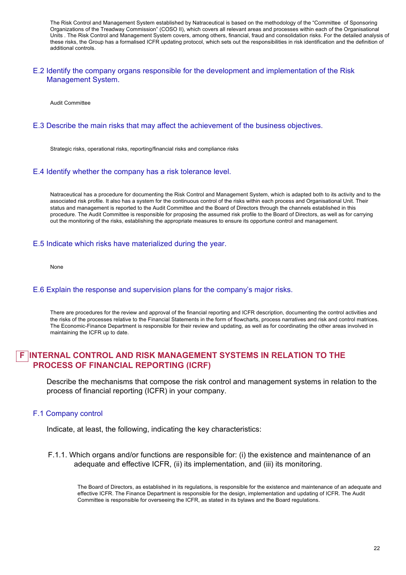The Risk Control and Management System established by Natraceutical is based on the methodology of the "Committee of Sponsoring Organizations of the Treadway Commission" (COSO II), which covers all relevant areas and processes within each of the Organisational Units . The Risk Control and Management System covers, among others, financial, fraud and consolidation risks. For the detailed analysis of these risks, the Group has a formalised ICFR updating protocol, which sets out the responsibilities in risk identification and the definition of additional controls.

#### E.2 Identify the company organs responsible for the development and implementation of the Risk Management System.

Audit Committee

### E.3 Describe the main risks that may affect the achievement of the business objectives.

Strategic risks, operational risks, reporting/financial risks and compliance risks

#### E.4 Identify whether the company has a risk tolerance level.

Natraceutical has a procedure for documenting the Risk Control and Management System, which is adapted both to its activity and to the associated risk profile. It also has a system for the continuous control of the risks within each process and Organisational Unit. Their status and management is reported to the Audit Committee and the Board of Directors through the channels established in this procedure. The Audit Committee is responsible for proposing the assumed risk profile to the Board of Directors, as well as for carrying out the monitoring of the risks, establishing the appropriate measures to ensure its opportune control and management.

#### E.5 Indicate which risks have materialized during the year.

None

### E.6 Explain the response and supervision plans for the company's major risks.

There are procedures for the review and approval of the financial reporting and ICFR description, documenting the control activities and the risks of the processes relative to the Financial Statements in the form of flowcharts, process narratives and risk and control matrices. The Economic-Finance Department is responsible for their review and updating, as well as for coordinating the other areas involved in maintaining the ICFR up to date.

## **INTERNAL CONTROL AND RISK MANAGEMENT SYSTEMS IN RELATION TO THE PROCESS OF FINANCIAL REPORTING (ICRF)**

Describe the mechanisms that compose the risk control and management systems in relation to the process of financial reporting (ICFR) in your company.

#### F.1 Company control

Indicate, at least, the following, indicating the key characteristics:

F.1.1. Which organs and/or functions are responsible for: (i) the existence and maintenance of an adequate and effective ICFR, (ii) its implementation, and (iii) its monitoring.

The Board of Directors, as established in its regulations, is responsible for the existence and maintenance of an adequate and effective ICFR. The Finance Department is responsible for the design, implementation and updating of ICFR. The Audit Committee is responsible for overseeing the ICFR, as stated in its bylaws and the Board regulations.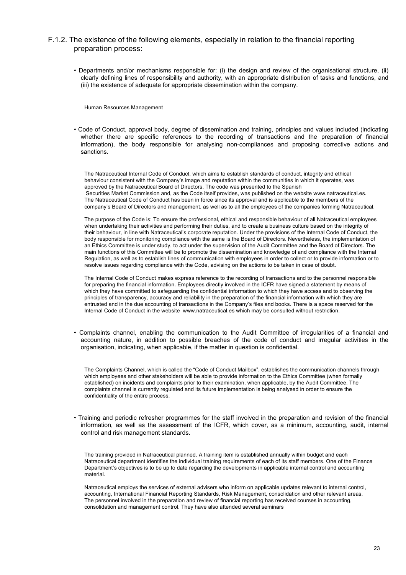### F.1.2. The existence of the following elements, especially in relation to the financial reporting preparation process:

• Departments and/or mechanisms responsible for: (i) the design and review of the organisational structure, (ii) clearly defining lines of responsibility and authority, with an appropriate distribution of tasks and functions, and (iii) the existence of adequate for appropriate dissemination within the company.

Human Resources Management

• Code of Conduct, approval body, degree of dissemination and training, principles and values included (indicating whether there are specific references to the recording of transactions and the preparation of financial information), the body responsible for analysing non-compliances and proposing corrective actions and sanctions.

The Natraceutical Internal Code of Conduct, which aims to establish standards of conduct, integrity and ethical behaviour consistent with the Company's image and reputation within the communities in which it operates, was approved by the Natraceutical Board of Directors. The code was presented to the Spanish Securities Market Commission and, as the Code itself provides, was published on the website www.natraceutical.es. The Natraceutical Code of Conduct has been in force since its approval and is applicable to the members of the company's Board of Directors and management, as well as to all the employees of the companies forming Natraceutical.

The purpose of the Code is: To ensure the professional, ethical and responsible behaviour of all Natraceutical employees when undertaking their activities and performing their duties, and to create a business culture based on the integrity of their behaviour, in line with Natraceutical's corporate reputation. Under the provisions of the Internal Code of Conduct, the body responsible for monitoring compliance with the same is the Board of Directors. Nevertheless, the implementation of an Ethics Committee is under study, to act under the supervision of the Audit Committee and the Board of Directors. The main functions of this Committee will be to promote the dissemination and knowledge of and compliance with the Internal Regulation, as well as to establish lines of communication with employees in order to collect or to provide information or to resolve issues regarding compliance with the Code, advising on the actions to be taken in case of doubt.

The Internal Code of Conduct makes express reference to the recording of transactions and to the personnel responsible for preparing the financial information. Employees directly involved in the ICFR have signed a statement by means of which they have committed to safeguarding the confidential information to which they have access and to observing the principles of transparency, accuracy and reliability in the preparation of the financial information with which they are entrusted and in the due accounting of transactions in the Company's files and books. There is a space reserved for the Internal Code of Conduct in the website www.natraceutical.es which may be consulted without restriction.

• Complaints channel, enabling the communication to the Audit Committee of irregularities of a financial and accounting nature, in addition to possible breaches of the code of conduct and irregular activities in the organisation, indicating, when applicable, if the matter in question is confidential.

The Complaints Channel, which is called the "Code of Conduct Mailbox", establishes the communication channels through which employees and other stakeholders will be able to provide information to the Ethics Committee (when formally established) on incidents and complaints prior to their examination, when applicable, by the Audit Committee. The complaints channel is currently regulated and its future implementation is being analysed in order to ensure the confidentiality of the entire process.

• Training and periodic refresher programmes for the staff involved in the preparation and revision of the financial information, as well as the assessment of the ICFR, which cover, as a minimum, accounting, audit, internal control and risk management standards.

The training provided in Natraceutical planned. A training item is established annually within budget and each Natraceutical department identifies the individual training requirements of each of its staff members. One of the Finance Department's objectives is to be up to date regarding the developments in applicable internal control and accounting material.

Natraceutical employs the services of external advisers who inform on applicable updates relevant to internal control, accounting, International Financial Reporting Standards, Risk Management, consolidation and other relevant areas. The personnel involved in the preparation and review of financial reporting has received courses in accounting, consolidation and management control. They have also attended several seminars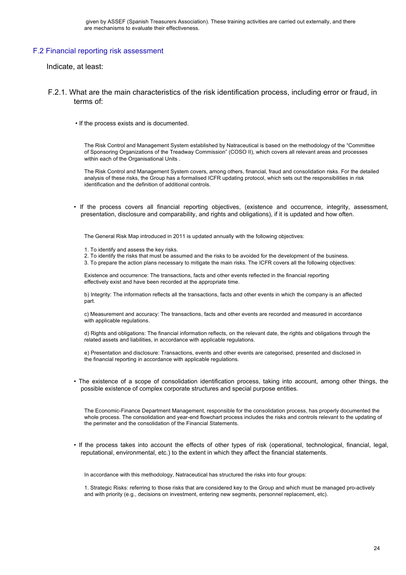### F.2 Financial reporting risk assessment

Indicate, at least:

- F.2.1. What are the main characteristics of the risk identification process, including error or fraud, in terms of:
	- If the process exists and is documented.

The Risk Control and Management System established by Natraceutical is based on the methodology of the "Committee of Sponsoring Organizations of the Treadway Commission" (COSO II), which covers all relevant areas and processes within each of the Organisational Units .

The Risk Control and Management System covers, among others, financial, fraud and consolidation risks. For the detailed analysis of these risks, the Group has a formalised ICFR updating protocol, which sets out the responsibilities in risk identification and the definition of additional controls.

• If the process covers all financial reporting objectives, (existence and occurrence, integrity, assessment, presentation, disclosure and comparability, and rights and obligations), if it is updated and how often.

The General Risk Map introduced in 2011 is updated annually with the following objectives:

- 1. To identify and assess the key risks.
- 2. To identify the risks that must be assumed and the risks to be avoided for the development of the business.
- 3. To prepare the action plans necessary to mitigate the main risks. The ICFR covers all the following objectives:

Existence and occurrence: The transactions, facts and other events reflected in the financial reporting effectively exist and have been recorded at the appropriate time.

b) Integrity: The information reflects all the transactions, facts and other events in which the company is an affected part.

c) Measurement and accuracy: The transactions, facts and other events are recorded and measured in accordance with applicable regulations.

d) Rights and obligations: The financial information reflects, on the relevant date, the rights and obligations through the related assets and liabilities, in accordance with applicable regulations.

e) Presentation and disclosure: Transactions, events and other events are categorised, presented and disclosed in the financial reporting in accordance with applicable regulations.

• The existence of a scope of consolidation identification process, taking into account, among other things, the possible existence of complex corporate structures and special purpose entities.

The Economic-Finance Department Management, responsible for the consolidation process, has properly documented the whole process. The consolidation and year-end flowchart process includes the risks and controls relevant to the updating of the perimeter and the consolidation of the Financial Statements.

• If the process takes into account the effects of other types of risk (operational, technological, financial, legal, reputational, environmental, etc.) to the extent in which they affect the financial statements.

In accordance with this methodology, Natraceutical has structured the risks into four groups:

1. Strategic Risks: referring to those risks that are considered key to the Group and which must be managed pro-actively and with priority (e.g., decisions on investment, entering new segments, personnel replacement, etc).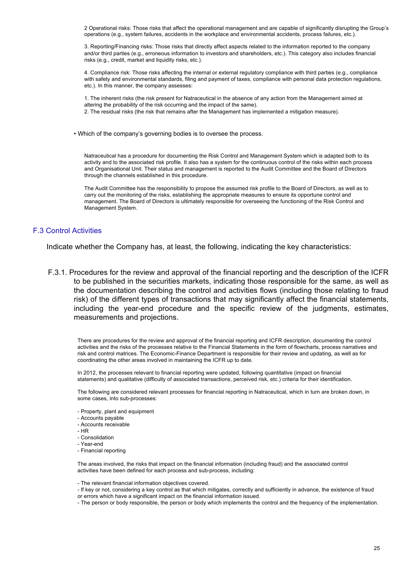2 Operational risks: Those risks that affect the operational management and are capable of significantly disrupting the Group's operations (e.g., system failures, accidents in the workplace and environmental accidents, process failures, etc.).

3. Reporting/Financing risks: Those risks that directly affect aspects related to the information reported to the company and/or third parties (e.g., erroneous information to investors and shareholders, etc.). This category also includes financial risks (e.g., credit, market and liquidity risks, etc.).

4. Compliance risk: Those risks affecting the internal or external regulatory compliance with third parties (e.g., compliance with safety and environmental standards, filing and payment of taxes, compliance with personal data protection regulations, etc.). In this manner, the company assesses:

1. The inherent risks (the risk present for Natraceutical in the absence of any action from the Management aimed at altering the probability of the risk occurring and the impact of the same).

2. The residual risks (the risk that remains after the Management has implemented a mitigation measure).

• Which of the company's governing bodies is to oversee the process.

Natraceutical has a procedure for documenting the Risk Control and Management System which is adapted both to its activity and to the associated risk profile. It also has a system for the continuous control of the risks within each process and Organisational Unit. Their status and management is reported to the Audit Committee and the Board of Directors through the channels established in this procedure.

The Audit Committee has the responsibility to propose the assumed risk profile to the Board of Directors, as well as to carry out the monitoring of the risks, establishing the appropriate measures to ensure its opportune control and management. The Board of Directors is ultimately responsible for overseeing the functioning of the Risk Control and Management System.

#### F.3 Control Activities

Indicate whether the Company has, at least, the following, indicating the key characteristics:

F.3.1. Procedures for the review and approval of the financial reporting and the description of the ICFR to be published in the securities markets, indicating those responsible for the same, as well as the documentation describing the control and activities flows (including those relating to fraud risk) of the different types of transactions that may significantly affect the financial statements, including the year-end procedure and the specific review of the judgments, estimates, measurements and projections.

There are procedures for the review and approval of the financial reporting and ICFR description, documenting the control activities and the risks of the processes relative to the Financial Statements in the form of flowcharts, process narratives and risk and control matrices. The Economic-Finance Department is responsible for their review and updating, as well as for coordinating the other areas involved in maintaining the ICFR up to date.

In 2012, the processes relevant to financial reporting were updated, following quantitative (impact on financial statements) and qualitative (difficulty of associated transactions, perceived risk, etc.) criteria for their identification.

The following are considered relevant processes for financial reporting in Natraceutical, which in turn are broken down, in some cases, into sub-processes:

- Property, plant and equipment
- Accounts payable
- Accounts receivable
- HR
- Consolidation
- Year-end
- Financial reporting

The areas involved, the risks that impact on the financial information (including fraud) and the associated control activities have been defined for each process and sub-process, including:

- The relevant financial information objectives covered.

- If key or not, considering a key control as that which mitigates, correctly and sufficiently in advance, the existence of fraud or errors which have a significant impact on the financial information issued.

- The person or body responsible, the person or body which implements the control and the frequency of the implementation.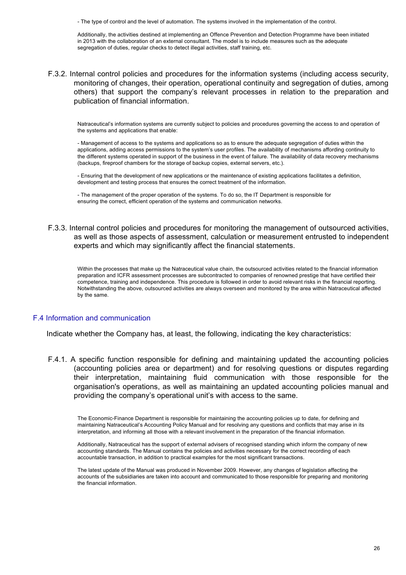- The type of control and the level of automation. The systems involved in the implementation of the control.

Additionally, the activities destined at implementing an Offence Prevention and Detection Programme have been initiated in 2013 with the collaboration of an external consultant. The model is to include measures such as the adequate segregation of duties, regular checks to detect illegal activities, staff training, etc.

F.3.2. Internal control policies and procedures for the information systems (including access security, monitoring of changes, their operation, operational continuity and segregation of duties, among others) that support the company's relevant processes in relation to the preparation and publication of financial information.

Natraceutical's information systems are currently subject to policies and procedures governing the access to and operation of the systems and applications that enable:

- Management of access to the systems and applications so as to ensure the adequate segregation of duties within the applications, adding access permissions to the system's user profiles. The availability of mechanisms affording continuity to the different systems operated in support of the business in the event of failure. The availability of data recovery mechanisms (backups, fireproof chambers for the storage of backup copies, external servers, etc.).

- Ensuring that the development of new applications or the maintenance of existing applications facilitates a definition, development and testing process that ensures the correct treatment of the information.

- The management of the proper operation of the systems. To do so, the IT Department is responsible for ensuring the correct, efficient operation of the systems and communication networks.

F.3.3. Internal control policies and procedures for monitoring the management of outsourced activities, as well as those aspects of assessment, calculation or measurement entrusted to independent experts and which may significantly affect the financial statements.

Within the processes that make up the Natraceutical value chain, the outsourced activities related to the financial information preparation and ICFR assessment processes are subcontracted to companies of renowned prestige that have certified their competence, training and independence. This procedure is followed in order to avoid relevant risks in the financial reporting. Notwithstanding the above, outsourced activities are always overseen and monitored by the area within Natraceutical affected by the same.

## F.4 Information and communication

Indicate whether the Company has, at least, the following, indicating the key characteristics:

F.4.1. A specific function responsible for defining and maintaining updated the accounting policies (accounting policies area or department) and for resolving questions or disputes regarding their interpretation, maintaining fluid communication with those responsible for the organisation's operations, as well as maintaining an updated accounting policies manual and providing the company's operational unit's with access to the same.

The Economic-Finance Department is responsible for maintaining the accounting policies up to date, for defining and maintaining Natraceutical's Accounting Policy Manual and for resolving any questions and conflicts that may arise in its interpretation, and informing all those with a relevant involvement in the preparation of the financial information.

Additionally, Natraceutical has the support of external advisers of recognised standing which inform the company of new accounting standards. The Manual contains the policies and activities necessary for the correct recording of each accountable transaction, in addition to practical examples for the most significant transactions.

The latest update of the Manual was produced in November 2009. However, any changes of legislation affecting the accounts of the subsidiaries are taken into account and communicated to those responsible for preparing and monitoring the financial information.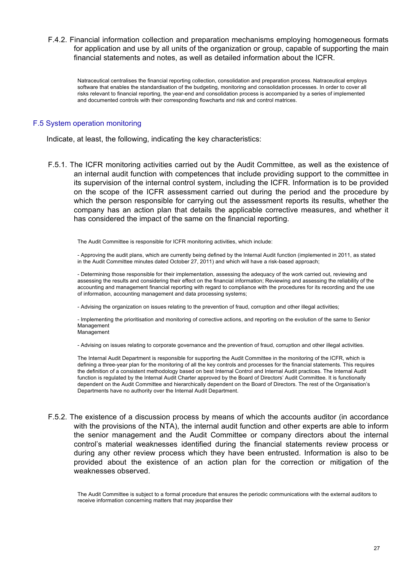F.4.2. Financial information collection and preparation mechanisms employing homogeneous formats for application and use by all units of the organization or group, capable of supporting the main financial statements and notes, as well as detailed information about the ICFR.

Natraceutical centralises the financial reporting collection, consolidation and preparation process. Natraceutical employs software that enables the standardisation of the budgeting, monitoring and consolidation processes. In order to cover all risks relevant to financial reporting, the year-end and consolidation process is accompanied by a series of implemented and documented controls with their corresponding flowcharts and risk and control matrices.

## F.5 System operation monitoring

Indicate, at least, the following, indicating the key characteristics:

F.5.1. The ICFR monitoring activities carried out by the Audit Committee, as well as the existence of an internal audit function with competences that include providing support to the committee in its supervision of the internal control system, including the ICFR. Information is to be provided on the scope of the ICFR assessment carried out during the period and the procedure by which the person responsible for carrying out the assessment reports its results, whether the company has an action plan that details the applicable corrective measures, and whether it has considered the impact of the same on the financial reporting.

The Audit Committee is responsible for ICFR monitoring activities, which include:

- Approving the audit plans, which are currently being defined by the Internal Audit function (implemented in 2011, as stated in the Audit Committee minutes dated October 27, 2011) and which will have a risk-based approach;

- Determining those responsible for their implementation, assessing the adequacy of the work carried out, reviewing and assessing the results and considering their effect on the financial information; Reviewing and assessing the reliability of the accounting and management financial reporting with regard to compliance with the procedures for its recording and the use of information, accounting management and data processing systems;

- Advising the organization on issues relating to the prevention of fraud, corruption and other illegal activities;

- Implementing the prioritisation and monitoring of corrective actions, and reporting on the evolution of the same to Senior Management Management

- Advising on issues relating to corporate governance and the prevention of fraud, corruption and other illegal activities.

The Internal Audit Department is responsible for supporting the Audit Committee in the monitoring of the ICFR, which is defining a three-year plan for the monitoring of all the key controls and processes for the financial statements. This requires the definition of a consistent methodology based on best Internal Control and Internal Audit practices. The Internal Audit function is regulated by the Internal Audit Charter approved by the Board of Directors' Audit Committee. It is functionally dependent on the Audit Committee and hierarchically dependent on the Board of Directors. The rest of the Organisation's Departments have no authority over the Internal Audit Department.

F.5.2. The existence of a discussion process by means of which the accounts auditor (in accordance with the provisions of the NTA), the internal audit function and other experts are able to inform the senior management and the Audit Committee or company directors about the internal control's material weaknesses identified during the financial statements review process or during any other review process which they have been entrusted. Information is also to be provided about the existence of an action plan for the correction or mitigation of the weaknesses observed.

The Audit Committee is subject to a formal procedure that ensures the periodic communications with the external auditors to receive information concerning matters that may jeopardise their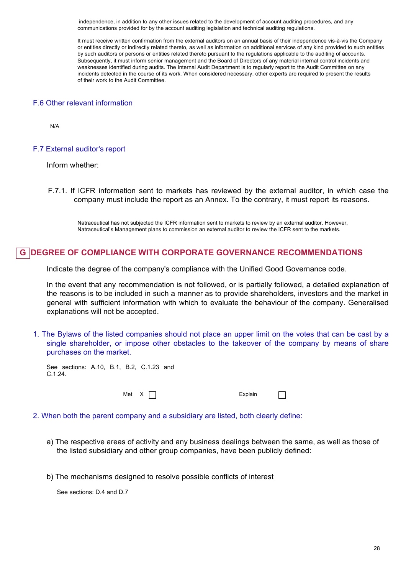independence, in addition to any other issues related to the development of account auditing procedures, and any communications provided for by the account auditing legislation and technical auditing regulations.

It must receive written confirmation from the external auditors on an annual basis of their independence vis-à-vis the Company or entities directly or indirectly related thereto, as well as information on additional services of any kind provided to such entities by such auditors or persons or entities related thereto pursuant to the regulations applicable to the auditing of accounts. Subsequently, it must inform senior management and the Board of Directors of any material internal control incidents and weaknesses identified during audits. The Internal Audit Department is to regularly report to the Audit Committee on any incidents detected in the course of its work. When considered necessary, other experts are required to present the results of their work to the Audit Committee.

## F.6 Other relevant information

N/A

#### F.7 External auditor's report

Inform whether:

F.7.1. If ICFR information sent to markets has reviewed by the external auditor, in which case the company must include the report as an Annex. To the contrary, it must report its reasons.

Natraceutical has not subjected the ICFR information sent to markets to review by an external auditor. However, Natraceutical's Management plans to commission an external auditor to review the ICFR sent to the markets.

## **G DEGREE OF COMPLIANCE WITH CORPORATE GOVERNANCE RECOMMENDATIONS**

Indicate the degree of the company's compliance with the Unified Good Governance code.

In the event that any recommendation is not followed, or is partially followed, a detailed explanation of the reasons is to be included in such a manner as to provide shareholders, investors and the market in general with sufficient information with which to evaluate the behaviour of the company. Generalised explanations will not be accepted.

1. The Bylaws of the listed companies should not place an upper limit on the votes that can be cast by a single shareholder, or impose other obstacles to the takeover of the company by means of share purchases on the market.

See sections: A.10, B.1, B.2, C.1.23 and C.1.24.

Met X and X Explain

 $\Box$ 

- 2. When both the parent company and a subsidiary are listed, both clearly define:
	- a) The respective areas of activity and any business dealings between the same, as well as those of the listed subsidiary and other group companies, have been publicly defined:
	- b) The mechanisms designed to resolve possible conflicts of interest

See sections: D.4 and D.7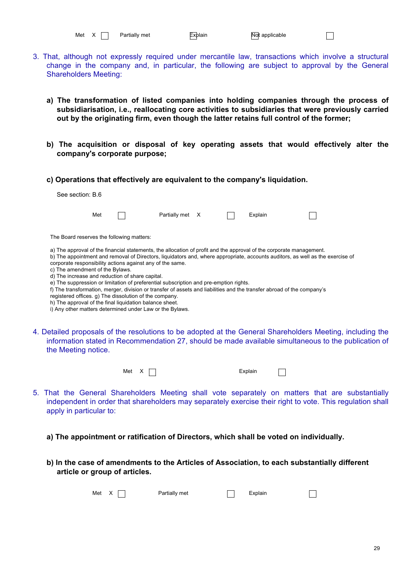| Met |  | Partia |
|-----|--|--------|
|-----|--|--------|

- 3. That, although not expressly required under mercantile law, transactions which involve a structural change in the company and, in particular, the following are subject to approval by the General Shareholders Meeting:
	- **a) The transformation of listed companies into holding companies through the process of subsidiarisation, i.e., reallocating core activities to subsidiaries that were previously carried out by the originating firm, even though the latter retains full control of the former;**
	- **b) The acquisition or disposal of key operating assets that would effectively alter the company's corporate purpose;**
	- **c) Operations that effectively are equivalent to the company's liquidation.**

| See section: B.6                |     |                                                 |                                                                                                                                                                                                                                                                                                                                                                                                                                                                                                                                                                                      |  |         |                                                                                                                                                                                                                   |  |
|---------------------------------|-----|-------------------------------------------------|--------------------------------------------------------------------------------------------------------------------------------------------------------------------------------------------------------------------------------------------------------------------------------------------------------------------------------------------------------------------------------------------------------------------------------------------------------------------------------------------------------------------------------------------------------------------------------------|--|---------|-------------------------------------------------------------------------------------------------------------------------------------------------------------------------------------------------------------------|--|
|                                 | Met |                                                 | Partially met X                                                                                                                                                                                                                                                                                                                                                                                                                                                                                                                                                                      |  | Explain |                                                                                                                                                                                                                   |  |
|                                 |     | The Board reserves the following matters:       |                                                                                                                                                                                                                                                                                                                                                                                                                                                                                                                                                                                      |  |         |                                                                                                                                                                                                                   |  |
| c) The amendment of the Bylaws. |     | d) The increase and reduction of share capital. | a) The approval of the financial statements, the allocation of profit and the approval of the corporate management.<br>corporate responsibility actions against any of the same.<br>e) The suppression or limitation of preferential subscription and pre-emption rights.<br>f) The transformation, merger, division or transfer of assets and liabilities and the transfer abroad of the company's<br>registered offices. g) The dissolution of the company.<br>h) The approval of the final liquidation balance sheet.<br>i) Any other matters determined under Law or the Bylaws. |  |         | b) The appointment and removal of Directors, liquidators and, where appropriate, accounts auditors, as well as the exercise of                                                                                    |  |
| the Meeting notice.             |     |                                                 |                                                                                                                                                                                                                                                                                                                                                                                                                                                                                                                                                                                      |  |         | 4. Detailed proposals of the resolutions to be adopted at the General Shareholders Meeting, including the<br>information stated in Recommendation 27, should be made available simultaneous to the publication of |  |



 $\Box$ 

- 5. That the General Shareholders Meeting shall vote separately on matters that are substantially independent in order that shareholders may separately exercise their right to vote. This regulation shall apply in particular to:
	- **a) The appointment or ratification of Directors, which shall be voted on individually.**
	- **b) In the case of amendments to the Articles of Association, to each substantially different article or group of articles.**

|  | Met $X \cap$ | Partially met | $\Box$ Explain |  |
|--|--------------|---------------|----------------|--|
|--|--------------|---------------|----------------|--|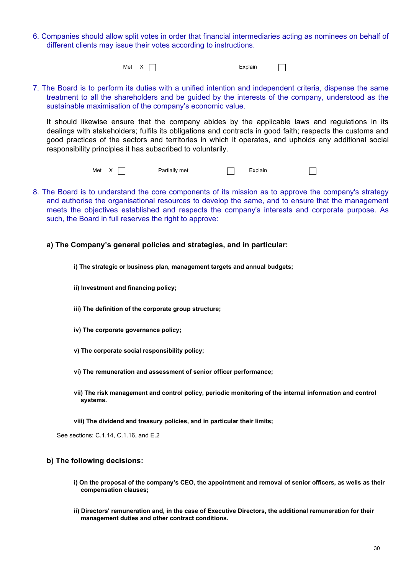6. Companies should allow split votes in order that financial intermediaries acting as nominees on behalf of different clients may issue their votes according to instructions.

Met X and X Explain

 $\Box$ 

7. The Board is to perform its duties with a unified intention and independent criteria, dispense the same treatment to all the shareholders and be guided by the interests of the company, understood as the sustainable maximisation of the company's economic value.

It should likewise ensure that the company abides by the applicable laws and regulations in its dealings with stakeholders; fulfils its obligations and contracts in good faith; respects the customs and good practices of the sectors and territories in which it operates, and upholds any additional social responsibility principles it has subscribed to voluntarily.

> Met  $X \cap$  Partially met  $\cap$  Explain  $\Box$

- 8. The Board is to understand the core components of its mission as to approve the company's strategy and authorise the organisational resources to develop the same, and to ensure that the management meets the objectives established and respects the company's interests and corporate purpose. As such, the Board in full reserves the right to approve:
	- **a) The Company's general policies and strategies, and in particular:**
		- **i) The strategic or business plan, management targets and annual budgets;**
		- **ii) Investment and financing policy;**
		- **iii) The definition of the corporate group structure;**
		- **iv) The corporate governance policy;**
		- **v) The corporate social responsibility policy;**
		- **vi) The remuneration and assessment of senior officer performance;**
		- **vii) The risk management and control policy, periodic monitoring of the internal information and control systems.**
		- **viii) The dividend and treasury policies, and in particular their limits;**

See sections: C.1.14, C.1.16, and E.2

## **b) The following decisions:**

- **i) On the proposal of the company's CEO, the appointment and removal of senior officers, as wells as their compensation clauses;**
- **ii) Directors' remuneration and, in the case of Executive Directors, the additional remuneration for their management duties and other contract conditions.**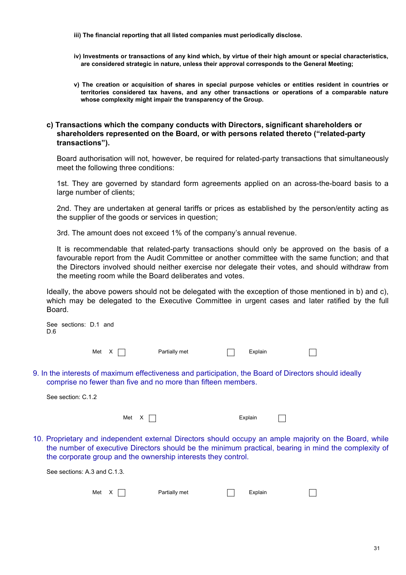- **iii) The financial reporting that all listed companies must periodically disclose.**
- **iv) Investments or transactions of any kind which, by virtue of their high amount or special characteristics, are considered strategic in nature, unless their approval corresponds to the General Meeting;**
- **v) The creation or acquisition of shares in special purpose vehicles or entities resident in countries or territories considered tax havens, and any other transactions or operations of a comparable nature whose complexity might impair the transparency of the Group.**

## **c) Transactions which the company conducts with Directors, significant shareholders or shareholders represented on the Board, or with persons related thereto ("related-party transactions").**

Board authorisation will not, however, be required for related-party transactions that simultaneously meet the following three conditions:

1st. They are governed by standard form agreements applied on an across-the-board basis to a large number of clients;

2nd. They are undertaken at general tariffs or prices as established by the person/entity acting as the supplier of the goods or services in question;

3rd. The amount does not exceed 1% of the company's annual revenue.

It is recommendable that related-party transactions should only be approved on the basis of a favourable report from the Audit Committee or another committee with the same function; and that the Directors involved should neither exercise nor delegate their votes, and should withdraw from the meeting room while the Board deliberates and votes.

Ideally, the above powers should not be delegated with the exception of those mentioned in b) and c), which may be delegated to the Executive Committee in urgent cases and later ratified by the full Board.

| D.6 | See sections: D.1 and        |              |       |                                                               |         |                                                                                                                                                                                                                |  |
|-----|------------------------------|--------------|-------|---------------------------------------------------------------|---------|----------------------------------------------------------------------------------------------------------------------------------------------------------------------------------------------------------------|--|
|     |                              | Met $X \mid$ |       | Partially met                                                 | Explain |                                                                                                                                                                                                                |  |
|     |                              |              |       | comprise no fewer than five and no more than fifteen members. |         | 9. In the interests of maximum effectiveness and participation, the Board of Directors should ideally                                                                                                          |  |
|     | See section: C.1.2           |              |       |                                                               |         |                                                                                                                                                                                                                |  |
|     |                              |              | Met X |                                                               | Explain |                                                                                                                                                                                                                |  |
|     |                              |              |       | the corporate group and the ownership interests they control. |         | 10. Proprietary and independent external Directors should occupy an ample majority on the Board, while<br>the number of executive Directors should be the minimum practical, bearing in mind the complexity of |  |
|     | See sections: A.3 and C.1.3. |              |       |                                                               |         |                                                                                                                                                                                                                |  |

| Met $X \Box$ | Partially met | Explain | $\overline{\phantom{0}}$ |
|--------------|---------------|---------|--------------------------|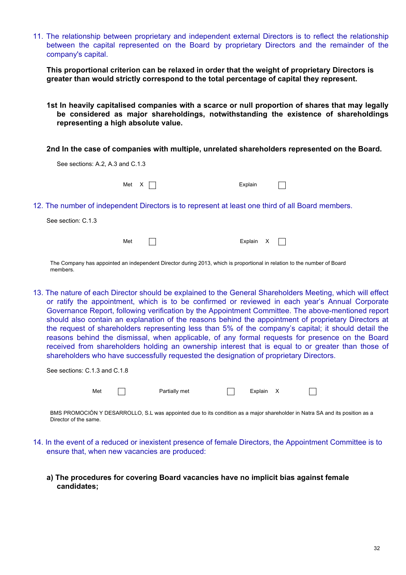11. The relationship between proprietary and independent external Directors is to reflect the relationship between the capital represented on the Board by proprietary Directors and the remainder of the company's capital.

**This proportional criterion can be relaxed in order that the weight of proprietary Directors is greater than would strictly correspond to the total percentage of capital they represent.**

**1st In heavily capitalised companies with a scarce or null proportion of shares that may legally be considered as major shareholdings, notwithstanding the existence of shareholdings representing a high absolute value.**

**2nd In the case of companies with multiple, unrelated shareholders represented on the Board.**

| See sections: A.2, A.3 and C.1.3 |                                                                                                  |         |  |
|----------------------------------|--------------------------------------------------------------------------------------------------|---------|--|
| Met X                            | $\Box$                                                                                           | Explain |  |
| See section: C.1.3               | 12. The number of independent Directors is to represent at least one third of all Board members. |         |  |
| Met                              |                                                                                                  | Explain |  |

The Company has appointed an independent Director during 2013, which is proportional in relation to the number of Board members.

13. The nature of each Director should be explained to the General Shareholders Meeting, which will effect or ratify the appointment, which is to be confirmed or reviewed in each year's Annual Corporate Governance Report, following verification by the Appointment Committee. The above-mentioned report should also contain an explanation of the reasons behind the appointment of proprietary Directors at the request of shareholders representing less than 5% of the company's capital; it should detail the reasons behind the dismissal, when applicable, of any formal requests for presence on the Board received from shareholders holding an ownership interest that is equal to or greater than those of shareholders who have successfully requested the designation of proprietary Directors.

| See sections: C.1.3 and C.1.8 |     |               |           |  |
|-------------------------------|-----|---------------|-----------|--|
|                               | Met | Partially met | Explain X |  |

BMS PROMOCIÓN Y DESARROLLO, S.L was appointed due to its condition as a major shareholder in Natra SA and its position as a Director of the same.

- 14. In the event of a reduced or inexistent presence of female Directors, the Appointment Committee is to ensure that, when new vacancies are produced:
	- **a) The procedures for covering Board vacancies have no implicit bias against female candidates;**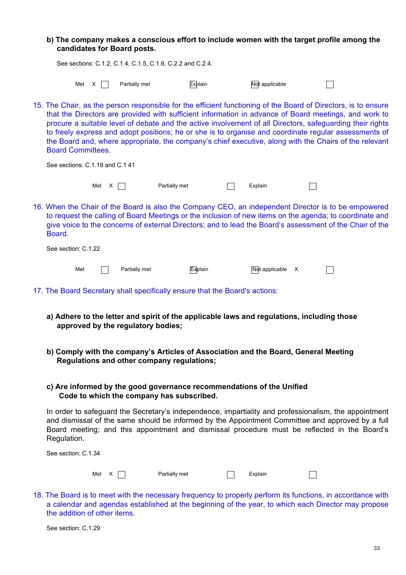|                                 |       | candidates for Board posts.                                |               |                | b) The company makes a conscious effort to include women with the target profile among the                                                                                                                                                                                                                                                                                                                                                                                                                                                              |   |  |
|---------------------------------|-------|------------------------------------------------------------|---------------|----------------|---------------------------------------------------------------------------------------------------------------------------------------------------------------------------------------------------------------------------------------------------------------------------------------------------------------------------------------------------------------------------------------------------------------------------------------------------------------------------------------------------------------------------------------------------------|---|--|
|                                 |       | See sections: C.1.2, C.1.4, C.1.5, C.1.6, C.2.2 and C.2.4. |               |                |                                                                                                                                                                                                                                                                                                                                                                                                                                                                                                                                                         |   |  |
|                                 | Met X | Partially met                                              |               | <b>Explain</b> | Not applicable                                                                                                                                                                                                                                                                                                                                                                                                                                                                                                                                          |   |  |
| <b>Board Committees.</b>        |       |                                                            |               |                | 15. The Chair, as the person responsible for the efficient functioning of the Board of Directors, is to ensure<br>that the Directors are provided with sufficient information in advance of Board meetings, and work to<br>procure a suitable level of debate and the active involvement of all Directors, safeguarding their rights<br>to freely express and adopt positions; he or she is to organise and coordinate regular assessments of<br>the Board and, where appropriate, the company's chief executive, along with the Chairs of the relevant |   |  |
| See sections: C.1.19 and C.1 41 |       |                                                            |               |                |                                                                                                                                                                                                                                                                                                                                                                                                                                                                                                                                                         |   |  |
|                                 | Met X |                                                            | Partially met |                | Explain                                                                                                                                                                                                                                                                                                                                                                                                                                                                                                                                                 |   |  |
| Board.                          |       |                                                            |               |                | 16. When the Chair of the Board is also the Company CEO, an independent Director is to be empowered<br>to request the calling of Board Meetings or the inclusion of new items on the agenda; to coordinate and<br>give voice to the concerns of external Directors; and to lead the Board's assessment of the Chair of the                                                                                                                                                                                                                              |   |  |
| See section: C.1.22             |       |                                                            |               |                |                                                                                                                                                                                                                                                                                                                                                                                                                                                                                                                                                         |   |  |
| Met                             |       | Partially met                                              |               | <b>Explain</b> | Not applicable                                                                                                                                                                                                                                                                                                                                                                                                                                                                                                                                          | X |  |

- 17. The Board Secretary shall specifically ensure that the Board's actions:
	- **a) Adhere to the letter and spirit of the applicable laws and regulations, including those approved by the regulatory bodies;**
	- **b) Comply with the company's Articles of Association and the Board, General Meeting Regulations and other company regulations;**

## **c) Are informed by the good governance recommendations of the Unified Code to which the company has subscribed.**

In order to safeguard the Secretary's independence, impartiality and professionalism, the appointment and dismissal of the same should be informed by the Appointment Committee and approved by a full Board meeting; and this appointment and dismissal procedure must be reflected in the Board's Regulation.

| See section: C.1.34 |               |         |  |
|---------------------|---------------|---------|--|
| Met X               | Partially met | Explain |  |

18. The Board is to meet with the necessary frequency to properly perform its functions, in accordance with a calendar and agendas established at the beginning of the year, to which each Director may propose the addition of other items.

See section: C.1.29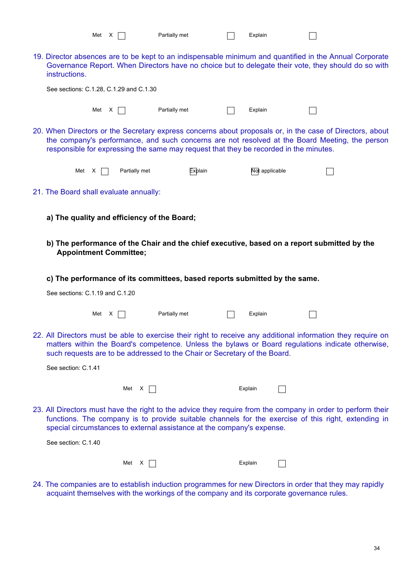|                                        | Met X                                   |                                             | Partially met                                                                         | Explain        |                                                                                                                                                                                                                    |  |
|----------------------------------------|-----------------------------------------|---------------------------------------------|---------------------------------------------------------------------------------------|----------------|--------------------------------------------------------------------------------------------------------------------------------------------------------------------------------------------------------------------|--|
| instructions.                          |                                         |                                             |                                                                                       |                | 19. Director absences are to be kept to an indispensable minimum and quantified in the Annual Corporate<br>Governance Report. When Directors have no choice but to delegate their vote, they should do so with     |  |
|                                        | See sections: C.1.28, C.1.29 and C.1.30 |                                             |                                                                                       |                |                                                                                                                                                                                                                    |  |
|                                        | Met $X \mid \cdot$                      | Partially met                               |                                                                                       | Explain        |                                                                                                                                                                                                                    |  |
|                                        |                                         |                                             | responsible for expressing the same may request that they be recorded in the minutes. |                | 20. When Directors or the Secretary express concerns about proposals or, in the case of Directors, about<br>the company's performance, and such concerns are not resolved at the Board Meeting, the person         |  |
|                                        | Met $X$                                 | Partially met                               | Explain                                                                               | Not applicable |                                                                                                                                                                                                                    |  |
| 21. The Board shall evaluate annually: |                                         |                                             |                                                                                       |                |                                                                                                                                                                                                                    |  |
|                                        |                                         | a) The quality and efficiency of the Board; |                                                                                       |                |                                                                                                                                                                                                                    |  |
|                                        | <b>Appointment Committee;</b>           |                                             |                                                                                       |                | b) The performance of the Chair and the chief executive, based on a report submitted by the                                                                                                                        |  |
|                                        |                                         |                                             | c) The performance of its committees, based reports submitted by the same.            |                |                                                                                                                                                                                                                    |  |
|                                        |                                         |                                             |                                                                                       |                |                                                                                                                                                                                                                    |  |
|                                        | See sections: C.1.19 and C.1.20         |                                             |                                                                                       |                |                                                                                                                                                                                                                    |  |
|                                        | Met X                                   |                                             | Partially met                                                                         | Explain        |                                                                                                                                                                                                                    |  |
|                                        |                                         |                                             | such requests are to be addressed to the Chair or Secretary of the Board.             |                | 22. All Directors must be able to exercise their right to receive any additional information they require on<br>matters within the Board's competence. Unless the bylaws or Board regulations indicate otherwise,  |  |
| See section: C.1.41                    |                                         |                                             |                                                                                       |                |                                                                                                                                                                                                                    |  |
|                                        |                                         | Met $X$                                     |                                                                                       | Explain        |                                                                                                                                                                                                                    |  |
|                                        |                                         |                                             | special circumstances to external assistance at the company's expense.                |                | 23. All Directors must have the right to the advice they require from the company in order to perform their<br>functions. The company is to provide suitable channels for the exercise of this right, extending in |  |
| See section: C.1.40                    |                                         |                                             |                                                                                       |                |                                                                                                                                                                                                                    |  |

24. The companies are to establish induction programmes for new Directors in order that they may rapidly acquaint themselves with the workings of the company and its corporate governance rules.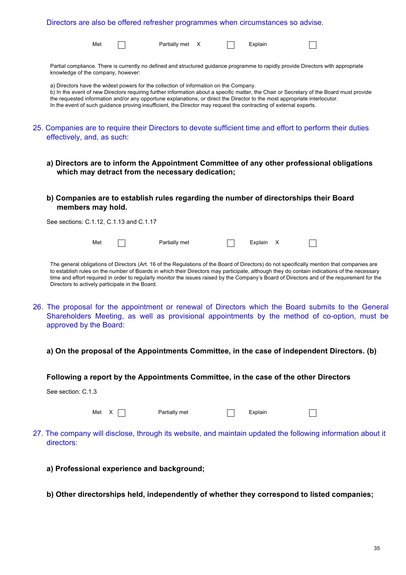|                                                                                                                                         |              |                                                 | Directors are also be offered refresher programmes when circumstances so advise.                                                                                                                                                                                                                                                                                                                                                                                                    |  |           |  |                                                                                                                                                                                                      |
|-----------------------------------------------------------------------------------------------------------------------------------------|--------------|-------------------------------------------------|-------------------------------------------------------------------------------------------------------------------------------------------------------------------------------------------------------------------------------------------------------------------------------------------------------------------------------------------------------------------------------------------------------------------------------------------------------------------------------------|--|-----------|--|------------------------------------------------------------------------------------------------------------------------------------------------------------------------------------------------------|
|                                                                                                                                         | Met          |                                                 | Partially met X                                                                                                                                                                                                                                                                                                                                                                                                                                                                     |  | Explain   |  |                                                                                                                                                                                                      |
| knowledge of the company, however:                                                                                                      |              |                                                 | Partial compliance. There is currently no defined and structured guidance programme to rapidly provide Directors with appropriate                                                                                                                                                                                                                                                                                                                                                   |  |           |  |                                                                                                                                                                                                      |
|                                                                                                                                         |              |                                                 | a) Directors have the widest powers for the collection of information on the Company.<br>b) In the event of new Directors requiring further information about a specific matter, the Chair or Secretary of the Board must provide<br>the requested information and/or any opportune explanations, or direct the Director to the most appropriate interlocutor.<br>In the event of such guidance proving insufficient, the Director may request the contracting of external experts. |  |           |  |                                                                                                                                                                                                      |
| 25. Companies are to require their Directors to devote sufficient time and effort to perform their duties<br>effectively, and, as such: |              |                                                 |                                                                                                                                                                                                                                                                                                                                                                                                                                                                                     |  |           |  |                                                                                                                                                                                                      |
|                                                                                                                                         |              |                                                 | a) Directors are to inform the Appointment Committee of any other professional obligations<br>which may detract from the necessary dedication;                                                                                                                                                                                                                                                                                                                                      |  |           |  |                                                                                                                                                                                                      |
| members may hold.                                                                                                                       |              |                                                 | b) Companies are to establish rules regarding the number of directorships their Board                                                                                                                                                                                                                                                                                                                                                                                               |  |           |  |                                                                                                                                                                                                      |
| See sections: C.1.12, C.1.13 and C.1.17                                                                                                 |              |                                                 |                                                                                                                                                                                                                                                                                                                                                                                                                                                                                     |  |           |  |                                                                                                                                                                                                      |
|                                                                                                                                         | Met          |                                                 | Partially met                                                                                                                                                                                                                                                                                                                                                                                                                                                                       |  | Explain X |  |                                                                                                                                                                                                      |
|                                                                                                                                         |              | Directors to actively participate in the Board. | The general obligations of Directors (Art. 16 of the Regulations of the Board of Directors) do not specifically mention that companies are<br>to establish rules on the number of Boards in which their Directors may participate, although they do contain indications of the necessary<br>time and effort required in order to regularly monitor the issues raised by the Company's Board of Directors and of the requirement for the                                             |  |           |  |                                                                                                                                                                                                      |
| approved by the Board:                                                                                                                  |              |                                                 |                                                                                                                                                                                                                                                                                                                                                                                                                                                                                     |  |           |  | 26. The proposal for the appointment or renewal of Directors which the Board submits to the General<br>Shareholders Meeting, as well as provisional appointments by the method of co-option, must be |
|                                                                                                                                         |              |                                                 | a) On the proposal of the Appointments Committee, in the case of independent Directors. (b)                                                                                                                                                                                                                                                                                                                                                                                         |  |           |  |                                                                                                                                                                                                      |
|                                                                                                                                         |              |                                                 | Following a report by the Appointments Committee, in the case of the other Directors                                                                                                                                                                                                                                                                                                                                                                                                |  |           |  |                                                                                                                                                                                                      |
| See section: C.1.3                                                                                                                      |              |                                                 |                                                                                                                                                                                                                                                                                                                                                                                                                                                                                     |  |           |  |                                                                                                                                                                                                      |
|                                                                                                                                         | Met $X \Box$ |                                                 | Partially met                                                                                                                                                                                                                                                                                                                                                                                                                                                                       |  | Explain   |  |                                                                                                                                                                                                      |
| directors:                                                                                                                              |              |                                                 |                                                                                                                                                                                                                                                                                                                                                                                                                                                                                     |  |           |  | 27. The company will disclose, through its website, and maintain updated the following information about it                                                                                          |
|                                                                                                                                         |              |                                                 | a) Professional experience and background;                                                                                                                                                                                                                                                                                                                                                                                                                                          |  |           |  |                                                                                                                                                                                                      |
|                                                                                                                                         |              |                                                 |                                                                                                                                                                                                                                                                                                                                                                                                                                                                                     |  |           |  |                                                                                                                                                                                                      |

**b) Other directorships held, independently of whether they correspond to listed companies;**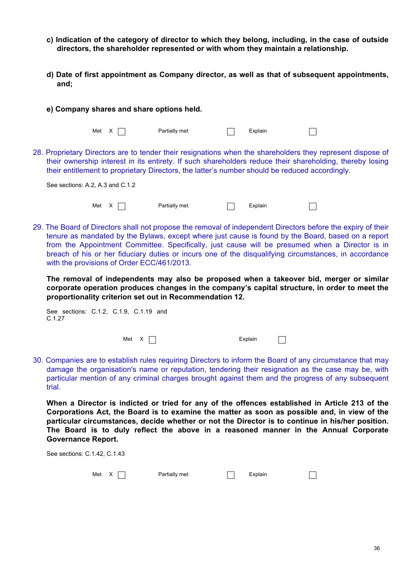- **c) Indication of the category of director to which they belong, including, in the case of outside directors, the shareholder represented or with whom they maintain a relationship.**
- **d) Date of first appointment as Company director, as well as that of subsequent appointments, and;**

|                                  |       | e) Company shares and share options held.                                                      |         |                                                                                                                                                                                                                        |
|----------------------------------|-------|------------------------------------------------------------------------------------------------|---------|------------------------------------------------------------------------------------------------------------------------------------------------------------------------------------------------------------------------|
|                                  | Met X | Partially met                                                                                  | Explain |                                                                                                                                                                                                                        |
|                                  |       | their entitlement to proprietary Directors, the latter's number should be reduced accordingly. |         | 28. Proprietary Directors are to tender their resignations when the shareholders they represent dispose of<br>their ownership interest in its entirety. If such shareholders reduce their shareholding, thereby losing |
| See sections: A.2, A.3 and C.1.2 |       |                                                                                                |         |                                                                                                                                                                                                                        |
|                                  | Met   | Partially met                                                                                  | Explain |                                                                                                                                                                                                                        |

29. The Board of Directors shall not propose the removal of independent Directors before the expiry of their tenure as mandated by the Bylaws, except where just cause is found by the Board, based on a report from the Appointment Committee. Specifically, just cause will be presumed when a Director is in breach of his or her fiduciary duties or incurs one of the disqualifying circumstances, in accordance with the provisions of Order ECC/461/2013.

**The removal of independents may also be proposed when a takeover bid, merger or similar corporate operation produces changes in the company's capital structure, in order to meet the proportionality criterion set out in Recommendation 12.**

| See sections: C.1.2, C.1.9, C.1.19 and<br>C.1.27 |  |                    |  |         |  |
|--------------------------------------------------|--|--------------------|--|---------|--|
|                                                  |  | Met $X \mid \cdot$ |  | Explain |  |

30. Companies are to establish rules requiring Directors to inform the Board of any circumstance that may damage the organisation's name or reputation, tendering their resignation as the case may be, with particular mention of any criminal charges brought against them and the progress of any subsequent trial.

**When a Director is indicted or tried for any of the offences established in Article 213 of the Corporations Act, the Board is to examine the matter as soon as possible and, in view of the particular circumstances, decide whether or not the Director is to continue in his/her position. The Board is to duly reflect the above in a reasoned manner in the Annual Corporate Governance Report.**

| See sections: C.1.42, C.1.43 |               |         |  |
|------------------------------|---------------|---------|--|
| Met $X$                      | Partially met | Explain |  |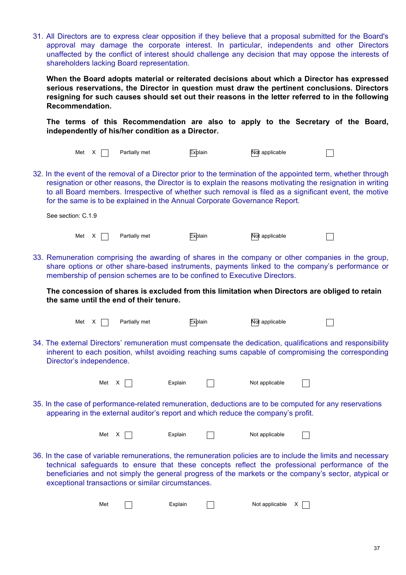31. All Directors are to express clear opposition if they believe that a proposal submitted for the Board's approval may damage the corporate interest. In particular, independents and other Directors unaffected by the conflict of interest should challenge any decision that may oppose the interests of shareholders lacking Board representation.

**When the Board adopts material or reiterated decisions about which a Director has expressed serious reservations, the Director in question must draw the pertinent conclusions. Directors resigning for such causes should set out their reasons in the letter referred to in the following Recommendation.**

**The terms of this Recommendation are also to apply to the Secretary of the Board, independently of his/her condition as a Director.**

| Met X                    |       | Partially met                                      | <b>Explain</b> | Not applicable                                                                                                                                                                                                                                                                                                                                                                                                      |  |
|--------------------------|-------|----------------------------------------------------|----------------|---------------------------------------------------------------------------------------------------------------------------------------------------------------------------------------------------------------------------------------------------------------------------------------------------------------------------------------------------------------------------------------------------------------------|--|
|                          |       |                                                    |                | 32. In the event of the removal of a Director prior to the termination of the appointed term, whether through<br>resignation or other reasons, the Director is to explain the reasons motivating the resignation in writing<br>to all Board members. Irrespective of whether such removal is filed as a significant event, the motive<br>for the same is to be explained in the Annual Corporate Governance Report. |  |
| See section: C.1.9       |       |                                                    |                |                                                                                                                                                                                                                                                                                                                                                                                                                     |  |
| Met X                    |       | Partially met                                      | Explain        | Not applicable                                                                                                                                                                                                                                                                                                                                                                                                      |  |
|                          |       |                                                    |                | 33. Remuneration comprising the awarding of shares in the company or other companies in the group,<br>share options or other share-based instruments, payments linked to the company's performance or<br>membership of pension schemes are to be confined to Executive Directors.                                                                                                                                   |  |
|                          |       | the same until the end of their tenure.            |                | The concession of shares is excluded from this limitation when Directors are obliged to retain                                                                                                                                                                                                                                                                                                                      |  |
| Met X                    |       | Partially met                                      | <b>Explain</b> | Not applicable                                                                                                                                                                                                                                                                                                                                                                                                      |  |
| Director's independence. |       |                                                    |                | 34. The external Directors' remuneration must compensate the dedication, qualifications and responsibility<br>inherent to each position, whilst avoiding reaching sums capable of compromising the corresponding                                                                                                                                                                                                    |  |
|                          | Met X |                                                    | Explain        | Not applicable                                                                                                                                                                                                                                                                                                                                                                                                      |  |
|                          |       |                                                    |                | 35. In the case of performance-related remuneration, deductions are to be computed for any reservations<br>appearing in the external auditor's report and which reduce the company's profit.                                                                                                                                                                                                                        |  |
|                          | Met X |                                                    | Explain        | Not applicable                                                                                                                                                                                                                                                                                                                                                                                                      |  |
|                          |       | exceptional transactions or similar circumstances. |                | 36. In the case of variable remunerations, the remuneration policies are to include the limits and necessary<br>technical safeguards to ensure that these concepts reflect the professional performance of the<br>beneficiaries and not simply the general progress of the markets or the company's sector, atypical or                                                                                             |  |
|                          | Met   |                                                    | Explain        | Not applicable $X$                                                                                                                                                                                                                                                                                                                                                                                                  |  |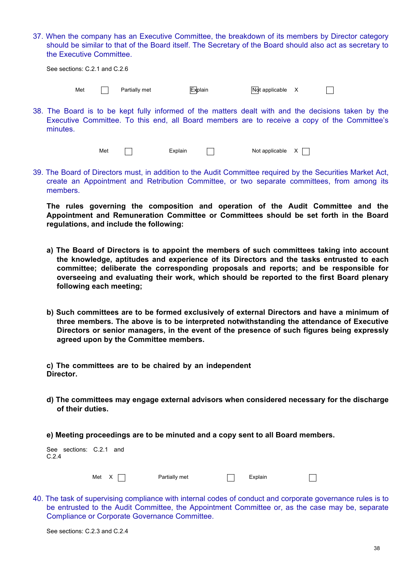37. When the company has an Executive Committee, the breakdown of its members by Director category should be similar to that of the Board itself. The Secretary of the Board should also act as secretary to the Executive Committee.

| See sections: C.2.1 and C.2.6 |  |  |  |
|-------------------------------|--|--|--|
|-------------------------------|--|--|--|

Met  $\Box$  Partially met  $\Box$  Explain  $\Box$  Not applicable X

 $\Box$ 

38. The Board is to be kept fully informed of the matters dealt with and the decisions taken by the Executive Committee. To this end, all Board members are to receive a copy of the Committee's minutes.

Met  $\Box$  Explain  $\Box$  Not applicable  $X \Box$ 

39. The Board of Directors must, in addition to the Audit Committee required by the Securities Market Act, create an Appointment and Retribution Committee, or two separate committees, from among its members.

**The rules governing the composition and operation of the Audit Committee and the Appointment and Remuneration Committee or Committees should be set forth in the Board regulations, and include the following:** 

- **a) The Board of Directors is to appoint the members of such committees taking into account the knowledge, aptitudes and experience of its Directors and the tasks entrusted to each committee; deliberate the corresponding proposals and reports; and be responsible for overseeing and evaluating their work, which should be reported to the first Board plenary following each meeting;**
- **b) Such committees are to be formed exclusively of external Directors and have a minimum of three members. The above is to be interpreted notwithstanding the attendance of Executive Directors or senior managers, in the event of the presence of such figures being expressly agreed upon by the Committee members.**

**c) The committees are to be chaired by an independent Director.** 

- **d) The committees may engage external advisors when considered necessary for the discharge of their duties.**
- **e) Meeting proceedings are to be minuted and a copy sent to all Board members.**

| See sections: C.2.1 and<br>C.2.4 |                    |               |         |  |
|----------------------------------|--------------------|---------------|---------|--|
|                                  | Met $X \mid \cdot$ | Partially met | Explain |  |

40. The task of supervising compliance with internal codes of conduct and corporate governance rules is to be entrusted to the Audit Committee, the Appointment Committee or, as the case may be, separate Compliance or Corporate Governance Committee.

See sections: C.2.3 and C.2.4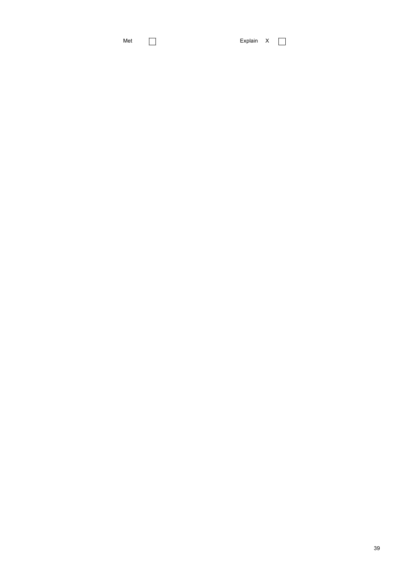Met **Explain X**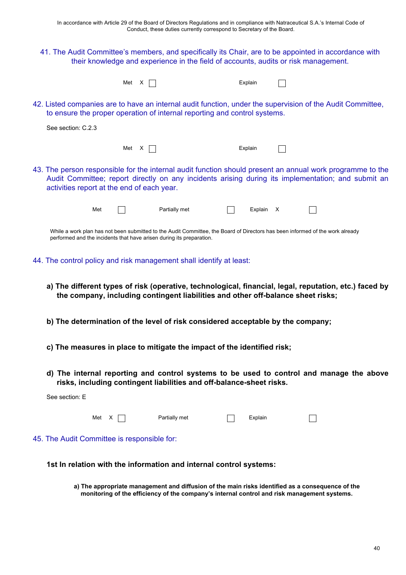41. The Audit Committee's members, and specifically its Chair, are to be appointed in accordance with their knowledge and experience in the field of accounts, audits or risk management.

| Met $X \cap$ |  |  |  | Explain |
|--------------|--|--|--|---------|
|--------------|--|--|--|---------|

| :xplain |  |
|---------|--|

 $\Box$ 

42. Listed companies are to have an internal audit function, under the supervision of the Audit Committee, to ensure the proper operation of internal reporting and control systems.

| See section: C.2.3                                                                                                                                                                                                                                            |
|---------------------------------------------------------------------------------------------------------------------------------------------------------------------------------------------------------------------------------------------------------------|
| Met X  <br>Explain                                                                                                                                                                                                                                            |
| 43. The person responsible for the internal audit function should present an annual work programme to the<br>Audit Committee; report directly on any incidents arising during its implementation; and submit an<br>activities report at the end of each year. |
| Met<br>Partially met<br>Explain                                                                                                                                                                                                                               |

While a work plan has not been submitted to the Audit Committee, the Board of Directors has been informed of the work already performed and the incidents that have arisen during its preparation.

44. The control policy and risk management shall identify at least:

See section: E

- **a) The different types of risk (operative, technological, financial, legal, reputation, etc.) faced by the company, including contingent liabilities and other off-balance sheet risks;**
- **b) The determination of the level of risk considered acceptable by the company;**
- **c) The measures in place to mitigate the impact of the identified risk;**
- **d) The internal reporting and control systems to be used to control and manage the above risks, including contingent liabilities and off-balance-sheet risks.**

| Met $X \mid \cdot$                          | Partially met | Explain |  |
|---------------------------------------------|---------------|---------|--|
| 45. The Audit Committee is responsible for: |               |         |  |

**1st In relation with the information and internal control systems:**

**a) The appropriate management and diffusion of the main risks identified as a consequence of the monitoring of the efficiency of the company's internal control and risk management systems.**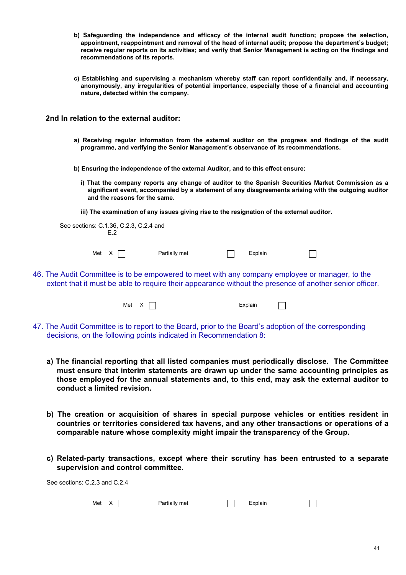- **b) Safeguarding the independence and efficacy of the internal audit function; propose the selection, appointment, reappointment and removal of the head of internal audit; propose the department's budget; receive regular reports on its activities; and verify that Senior Management is acting on the findings and recommendations of its reports.**
- **c) Establishing and supervising a mechanism whereby staff can report confidentially and, if necessary, anonymously, any irregularities of potential importance, especially those of a financial and accounting nature, detected within the company.**

**2nd In relation to the external auditor:**

**a) Receiving regular information from the external auditor on the progress and findings of the audit programme, and verifying the Senior Management's observance of its recommendations.**

**b) Ensuring the independence of the external Auditor, and to this effect ensure:**

**i) That the company reports any change of auditor to the Spanish Securities Market Commission as a significant event, accompanied by a statement of any disagreements arising with the outgoing auditor and the reasons for the same.**

**iii) The examination of any issues giving rise to the resignation of the external auditor.**

| See sections: C.1.36, C.2.3, C.2.4 and<br>F2 |               |         |  |
|----------------------------------------------|---------------|---------|--|
| Met X                                        | Partially met | Explain |  |

46. The Audit Committee is to be empowered to meet with any company employee or manager, to the extent that it must be able to require their appearance without the presence of another senior officer.

| Met $X \cap$ |  |  |  | Explain |
|--------------|--|--|--|---------|
|--------------|--|--|--|---------|

| ılain |  |
|-------|--|
|       |  |

- 47. The Audit Committee is to report to the Board, prior to the Board's adoption of the corresponding decisions, on the following points indicated in Recommendation 8:
	- **a) The financial reporting that all listed companies must periodically disclose. The Committee must ensure that interim statements are drawn up under the same accounting principles as those employed for the annual statements and, to this end, may ask the external auditor to conduct a limited revision.**
	- **b) The creation or acquisition of shares in special purpose vehicles or entities resident in countries or territories considered tax havens, and any other transactions or operations of a comparable nature whose complexity might impair the transparency of the Group.**
	- **c) Related-party transactions, except where their scrutiny has been entrusted to a separate supervision and control committee.**

See sections: C.2.3 and C.2.4

|  | Met $X \Box$ | Partially met | $\Box$ Explain |  |
|--|--------------|---------------|----------------|--|
|--|--------------|---------------|----------------|--|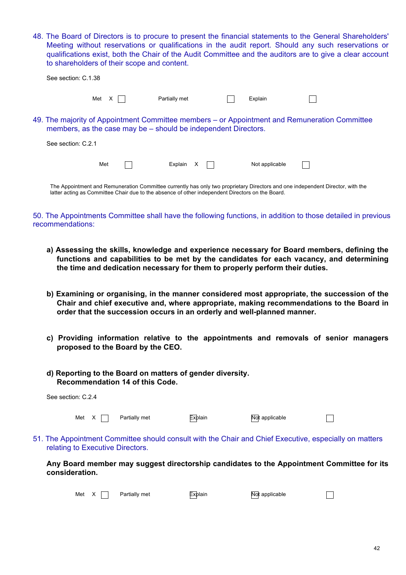48. The Board of Directors is to procure to present the financial statements to the General Shareholders' Meeting without reservations or qualifications in the audit report. Should any such reservations or qualifications exist, both the Chair of the Audit Committee and the auditors are to give a clear account to shareholders of their scope and content.

| See section: C.1.38                                                                              |          |               |  |                |                                                                                                                                |
|--------------------------------------------------------------------------------------------------|----------|---------------|--|----------------|--------------------------------------------------------------------------------------------------------------------------------|
|                                                                                                  | Met<br>X | Partially met |  | Explain        |                                                                                                                                |
| members, as the case may be – should be independent Directors.                                   |          |               |  |                | 49. The majority of Appointment Committee members – or Appointment and Remuneration Committee                                  |
| See section: C.2.1                                                                               |          |               |  |                |                                                                                                                                |
|                                                                                                  | Met      | Explain X     |  | Not applicable |                                                                                                                                |
| latter acting as Committee Chair due to the absence of other independent Directors on the Board. |          |               |  |                | The Appointment and Remuneration Committee currently has only two proprietary Directors and one independent Director, with the |

## 50. The Appointments Committee shall have the following functions, in addition to those detailed in previous recommendations:

- **a) Assessing the skills, knowledge and experience necessary for Board members, defining the functions and capabilities to be met by the candidates for each vacancy, and determining the time and dedication necessary for them to properly perform their duties.**
- **b) Examining or organising, in the manner considered most appropriate, the succession of the Chair and chief executive and, where appropriate, making recommendations to the Board in order that the succession occurs in an orderly and well-planned manner.**
- **c) Providing information relative to the appointments and removals of senior managers proposed to the Board by the CEO.**
- **d) Reporting to the Board on matters of gender diversity. Recommendation 14 of this Code.**

| consideration.                   |       |               |                | Any Board member may suggest directorship candidates to the Appointment Committee for its              |  |
|----------------------------------|-------|---------------|----------------|--------------------------------------------------------------------------------------------------------|--|
| relating to Executive Directors. |       |               |                | 51. The Appointment Committee should consult with the Chair and Chief Executive, especially on matters |  |
|                                  | Met X | Partially met | <b>Explain</b> | Not applicable                                                                                         |  |
| See section: C.2.4               |       |               |                |                                                                                                        |  |

Met  $X \cap$  Partially met  $\overline{Ex}$ plain  $\overline{N}$ ot applicable

 $\Box$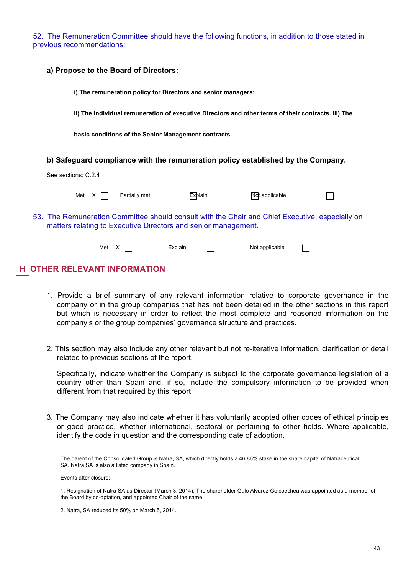52. The Remuneration Committee should have the following functions, in addition to those stated in previous recommendations:

| a) Propose to the Board of Directors:  |               |                                                                |                                                                                                     |  |
|----------------------------------------|---------------|----------------------------------------------------------------|-----------------------------------------------------------------------------------------------------|--|
|                                        |               | i) The remuneration policy for Directors and senior managers;  |                                                                                                     |  |
|                                        |               |                                                                | ii) The individual remuneration of executive Directors and other terms of their contracts. iii) The |  |
|                                        |               | basic conditions of the Senior Management contracts.           |                                                                                                     |  |
|                                        |               |                                                                | b) Safeguard compliance with the remuneration policy established by the Company.                    |  |
| See sections: C.2.4                    |               |                                                                |                                                                                                     |  |
| Met<br>X                               | Partially met | <b>Explain</b>                                                 | Not applicable                                                                                      |  |
|                                        |               | matters relating to Executive Directors and senior management. | 53. The Remuneration Committee should consult with the Chair and Chief Executive, especially on     |  |
|                                        | Met X         | Explain                                                        | Not applicable                                                                                      |  |
| <b>OTHER RELEVANT INFORMATION</b><br>н |               |                                                                |                                                                                                     |  |

- 1. Provide a brief summary of any relevant information relative to corporate governance in the company or in the group companies that has not been detailed in the other sections in this report but which is necessary in order to reflect the most complete and reasoned information on the company's or the group companies' governance structure and practices.
- 2. This section may also include any other relevant but not re-iterative information, clarification or detail related to previous sections of the report.

Specifically, indicate whether the Company is subject to the corporate governance legislation of a country other than Spain and, if so, include the compulsory information to be provided when different from that required by this report.

3. The Company may also indicate whether it has voluntarily adopted other codes of ethical principles or good practice, whether international, sectoral or pertaining to other fields. Where applicable, identify the code in question and the corresponding date of adoption.

The parent of the Consolidated Group is Natra, SA, which directly holds a 46.86% stake in the share capital of Natraceutical, SA. Natra SA is also a listed company in Spain.

Events after closure:

1. Resignation of Natra SA as Director (March 3, 2014). The shareholder Galo Alvarez Goicoechea was appointed as a member of the Board by co-optation, and appointed Chair of the same.

2. Natra, SA reduced its 50% on March 5, 2014.